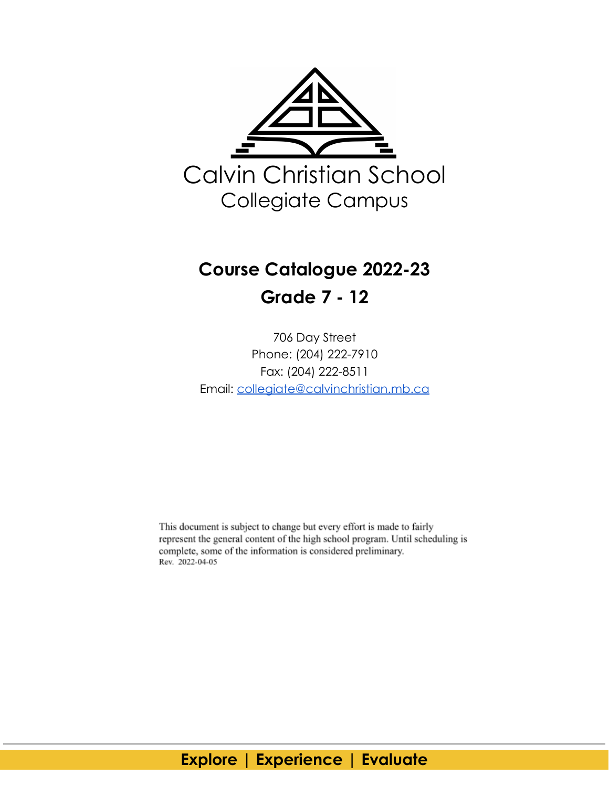

# **Course Catalogue 2022-23 Grade 7 - 12**

706 Day Street Phone: (204) 222-7910 Fax: (204) 222-8511 Email: [collegiate@calvinchristian.mb.ca](mailto:collegiate@calvinchristian.mb.ca)

This document is subject to change but every effort is made to fairly represent the general content of the high school program. Until scheduling is complete, some of the information is considered preliminary. Rev. 2022-04-05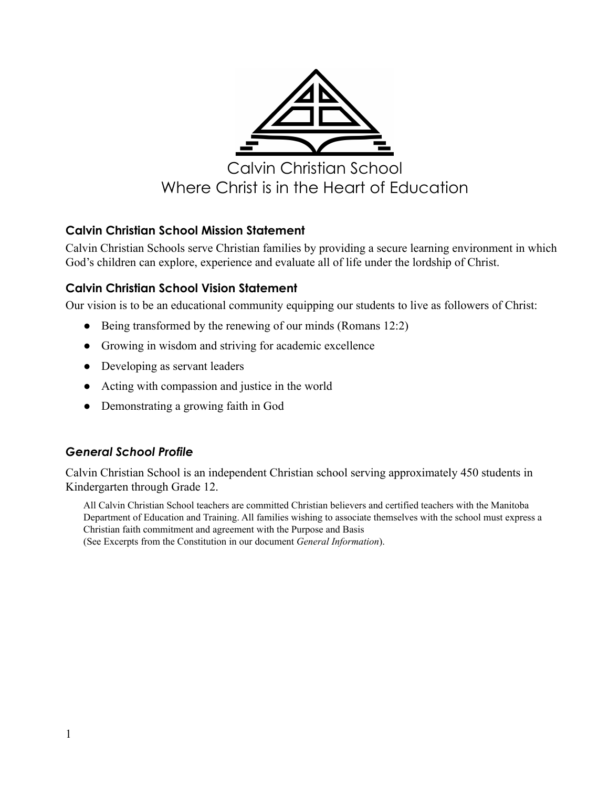

#### <span id="page-1-0"></span>**Calvin Christian School Mission Statement**

Calvin Christian Schools serve Christian families by providing a secure learning environment in which God's children can explore, experience and evaluate all of life under the lordship of Christ.

#### <span id="page-1-1"></span>**Calvin Christian School Vision Statement**

Our vision is to be an educational community equipping our students to live as followers of Christ:

- Being transformed by the renewing of our minds (Romans 12:2)
- Growing in wisdom and striving for academic excellence
- Developing as servant leaders
- Acting with compassion and justice in the world
- Demonstrating a growing faith in God

#### <span id="page-1-2"></span>*General School Profile*

Calvin Christian School is an independent Christian school serving approximately 450 students in Kindergarten through Grade 12.

All Calvin Christian School teachers are committed Christian believers and certified teachers with the Manitoba Department of Education and Training. All families wishing to associate themselves with the school must express a Christian faith commitment and agreement with the Purpose and Basis (See Excerpts from the Constitution in our document *General Information*).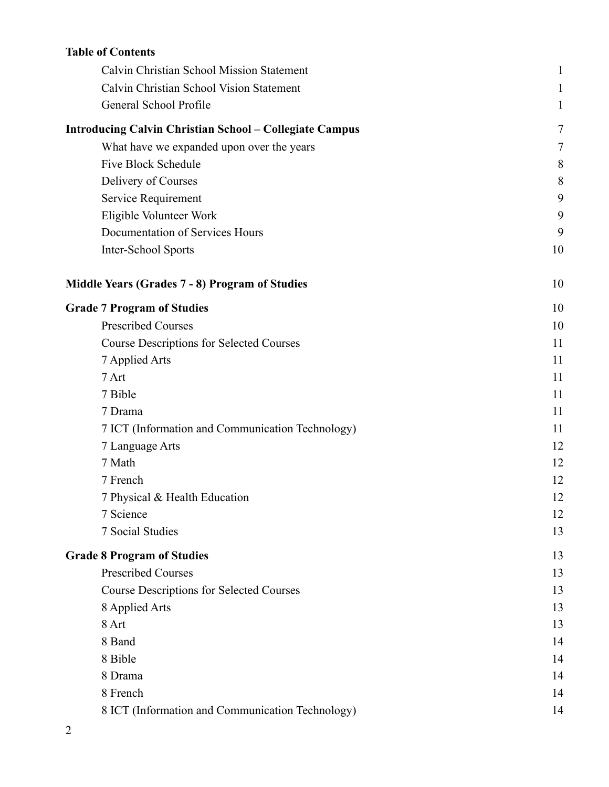### **Table of Contents**

| Calvin Christian School Mission Statement                      | $\mathbf{1}$ |
|----------------------------------------------------------------|--------------|
| Calvin Christian School Vision Statement                       | 1            |
| General School Profile                                         | 1            |
| <b>Introducing Calvin Christian School - Collegiate Campus</b> | 7            |
| What have we expanded upon over the years                      | 7            |
| <b>Five Block Schedule</b>                                     | 8            |
| Delivery of Courses                                            | 8            |
| Service Requirement                                            | 9            |
| Eligible Volunteer Work                                        | 9            |
| Documentation of Services Hours                                | 9            |
| Inter-School Sports                                            | 10           |
| Middle Years (Grades 7 - 8) Program of Studies                 | 10           |
| <b>Grade 7 Program of Studies</b>                              | 10           |
| <b>Prescribed Courses</b>                                      | 10           |
| <b>Course Descriptions for Selected Courses</b>                | 11           |
| 7 Applied Arts                                                 | 11           |
| 7 Art                                                          | 11           |
| 7 Bible                                                        | 11           |
| 7 Drama                                                        | 11           |
| 7 ICT (Information and Communication Technology)               | 11           |
| 7 Language Arts                                                | 12           |
| 7 Math                                                         | 12           |
| 7 French                                                       | 12           |
| 7 Physical & Health Education                                  | 12           |
| 7 Science                                                      | 12           |
| 7 Social Studies                                               | 13           |
| <b>Grade 8 Program of Studies</b>                              | 13           |
| <b>Prescribed Courses</b>                                      | 13           |
| <b>Course Descriptions for Selected Courses</b>                | 13           |
| 8 Applied Arts                                                 | 13           |
| 8 Art                                                          | 13           |
| 8 Band                                                         | 14           |
| 8 Bible                                                        | 14           |
| 8 Drama                                                        | 14           |
| 8 French                                                       | 14           |
| 8 ICT (Information and Communication Technology)               | 14           |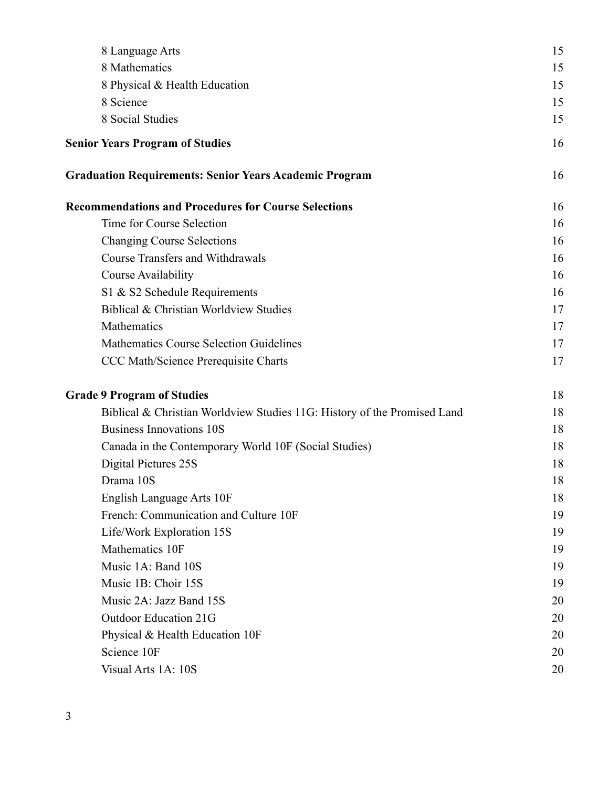| 8 Language Arts                                                          | 15 |
|--------------------------------------------------------------------------|----|
| 8 Mathematics                                                            | 15 |
| 8 Physical & Health Education                                            | 15 |
| 8 Science                                                                | 15 |
| 8 Social Studies                                                         | 15 |
| <b>Senior Years Program of Studies</b>                                   | 16 |
| <b>Graduation Requirements: Senior Years Academic Program</b>            | 16 |
| <b>Recommendations and Procedures for Course Selections</b>              | 16 |
| Time for Course Selection                                                | 16 |
| <b>Changing Course Selections</b>                                        | 16 |
| <b>Course Transfers and Withdrawals</b>                                  | 16 |
| <b>Course Availability</b>                                               | 16 |
| S1 & S2 Schedule Requirements                                            | 16 |
| Biblical & Christian Worldview Studies                                   | 17 |
| Mathematics                                                              | 17 |
| <b>Mathematics Course Selection Guidelines</b>                           | 17 |
| CCC Math/Science Prerequisite Charts                                     | 17 |
| <b>Grade 9 Program of Studies</b>                                        | 18 |
| Biblical & Christian Worldview Studies 11G: History of the Promised Land | 18 |
| <b>Business Innovations 10S</b>                                          | 18 |
| Canada in the Contemporary World 10F (Social Studies)                    | 18 |
| Digital Pictures 25S                                                     | 18 |
| Drama 10S                                                                | 18 |
| English Language Arts 10F                                                | 18 |
| French: Communication and Culture 10F                                    | 19 |
| Life/Work Exploration 15S                                                | 19 |
| Mathematics 10F                                                          | 19 |
| Music 1A: Band 10S                                                       | 19 |
| Music 1B: Choir 15S                                                      | 19 |
| Music 2A: Jazz Band 15S                                                  | 20 |
| <b>Outdoor Education 21G</b>                                             | 20 |
| Physical & Health Education 10F                                          | 20 |
| Science 10F                                                              | 20 |
| Visual Arts 1A: 10S                                                      | 20 |
|                                                                          |    |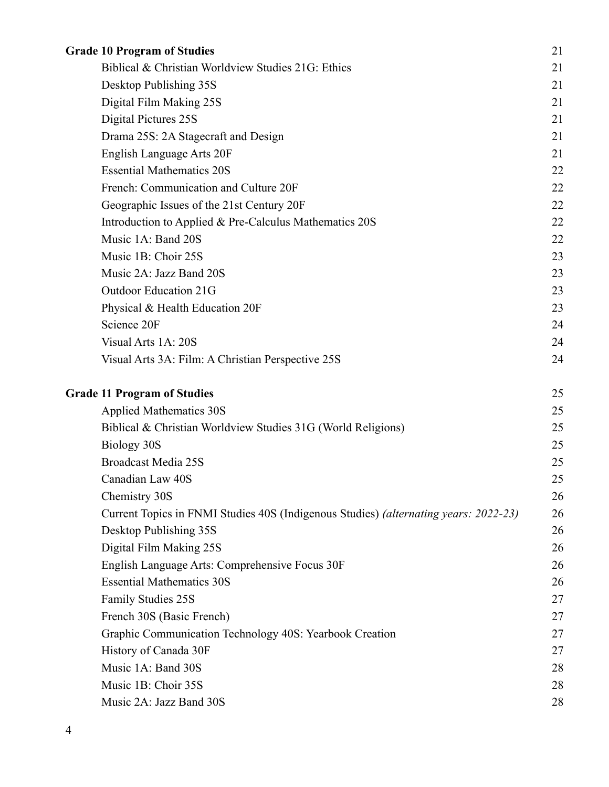| <b>Grade 10 Program of Studies</b>                                                   | 21 |
|--------------------------------------------------------------------------------------|----|
| Biblical & Christian Worldview Studies 21G: Ethics                                   | 21 |
| Desktop Publishing 35S                                                               | 21 |
| Digital Film Making 25S                                                              | 21 |
| Digital Pictures 25S                                                                 | 21 |
| Drama 25S: 2A Stagecraft and Design                                                  | 21 |
| English Language Arts 20F                                                            | 21 |
| <b>Essential Mathematics 20S</b>                                                     | 22 |
| French: Communication and Culture 20F                                                | 22 |
| Geographic Issues of the 21st Century 20F                                            | 22 |
| Introduction to Applied & Pre-Calculus Mathematics 20S                               | 22 |
| Music 1A: Band 20S                                                                   | 22 |
| Music 1B: Choir 25S                                                                  | 23 |
| Music 2A: Jazz Band 20S                                                              | 23 |
| <b>Outdoor Education 21G</b>                                                         | 23 |
| Physical & Health Education 20F                                                      | 23 |
| Science 20F                                                                          | 24 |
| Visual Arts 1A: 20S                                                                  | 24 |
| Visual Arts 3A: Film: A Christian Perspective 25S                                    | 24 |
| <b>Grade 11 Program of Studies</b>                                                   | 25 |
| <b>Applied Mathematics 30S</b>                                                       | 25 |
| Biblical & Christian Worldview Studies 31G (World Religions)                         | 25 |
| Biology 30S                                                                          | 25 |
| <b>Broadcast Media 25S</b>                                                           | 25 |
| Canadian Law 40S                                                                     | 25 |
| Chemistry 30S                                                                        | 26 |
| Current Topics in FNMI Studies 40S (Indigenous Studies) (alternating years: 2022-23) | 26 |
| Desktop Publishing 35S                                                               | 26 |
| Digital Film Making 25S                                                              | 26 |
| English Language Arts: Comprehensive Focus 30F                                       | 26 |
| <b>Essential Mathematics 30S</b>                                                     | 26 |
| <b>Family Studies 25S</b>                                                            | 27 |
| French 30S (Basic French)                                                            | 27 |
| Graphic Communication Technology 40S: Yearbook Creation                              | 27 |
| History of Canada 30F                                                                | 27 |
| Music 1A: Band 30S                                                                   | 28 |
| Music 1B: Choir 35S                                                                  | 28 |
| Music 2A: Jazz Band 30S                                                              | 28 |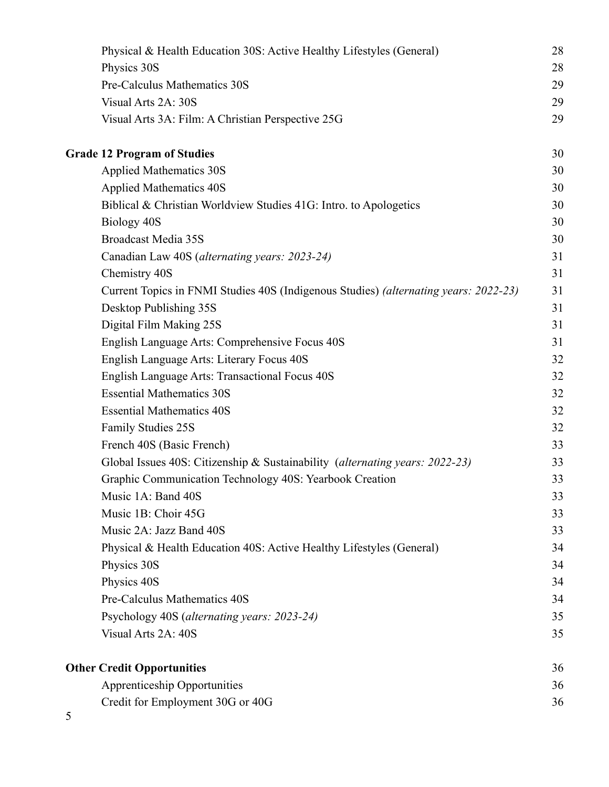| Physical & Health Education 30S: Active Healthy Lifestyles (General)                 | 28 |
|--------------------------------------------------------------------------------------|----|
| Physics 30S                                                                          | 28 |
| Pre-Calculus Mathematics 30S                                                         | 29 |
| Visual Arts 2A: 30S                                                                  | 29 |
| Visual Arts 3A: Film: A Christian Perspective 25G                                    | 29 |
| <b>Grade 12 Program of Studies</b>                                                   | 30 |
| <b>Applied Mathematics 30S</b>                                                       | 30 |
| <b>Applied Mathematics 40S</b>                                                       | 30 |
| Biblical & Christian Worldview Studies 41G: Intro. to Apologetics                    | 30 |
| Biology 40S                                                                          | 30 |
| <b>Broadcast Media 35S</b>                                                           | 30 |
| Canadian Law 40S (alternating years: 2023-24)                                        | 31 |
| Chemistry 40S                                                                        | 31 |
| Current Topics in FNMI Studies 40S (Indigenous Studies) (alternating years: 2022-23) | 31 |
| Desktop Publishing 35S                                                               | 31 |
| Digital Film Making 25S                                                              | 31 |
| English Language Arts: Comprehensive Focus 40S                                       | 31 |
| English Language Arts: Literary Focus 40S                                            | 32 |
| English Language Arts: Transactional Focus 40S                                       | 32 |
| <b>Essential Mathematics 30S</b>                                                     | 32 |
| <b>Essential Mathematics 40S</b>                                                     | 32 |
| <b>Family Studies 25S</b>                                                            | 32 |
| French 40S (Basic French)                                                            | 33 |
| Global Issues 40S: Citizenship & Sustainability (alternating years: 2022-23)         | 33 |
| Graphic Communication Technology 40S: Yearbook Creation                              | 33 |
| Music 1A: Band 40S                                                                   | 33 |
| Music 1B: Choir 45G                                                                  | 33 |
| Music 2A: Jazz Band 40S                                                              | 33 |
| Physical & Health Education 40S: Active Healthy Lifestyles (General)                 | 34 |
| Physics 30S                                                                          | 34 |
| Physics 40S                                                                          | 34 |
| Pre-Calculus Mathematics 40S                                                         | 34 |
| Psychology 40S (alternating years: 2023-24)                                          | 35 |
| Visual Arts 2A: 40S                                                                  | 35 |
| <b>Other Credit Opportunities</b>                                                    | 36 |
| <b>Apprenticeship Opportunities</b>                                                  | 36 |
| Credit for Employment 30G or 40G                                                     | 36 |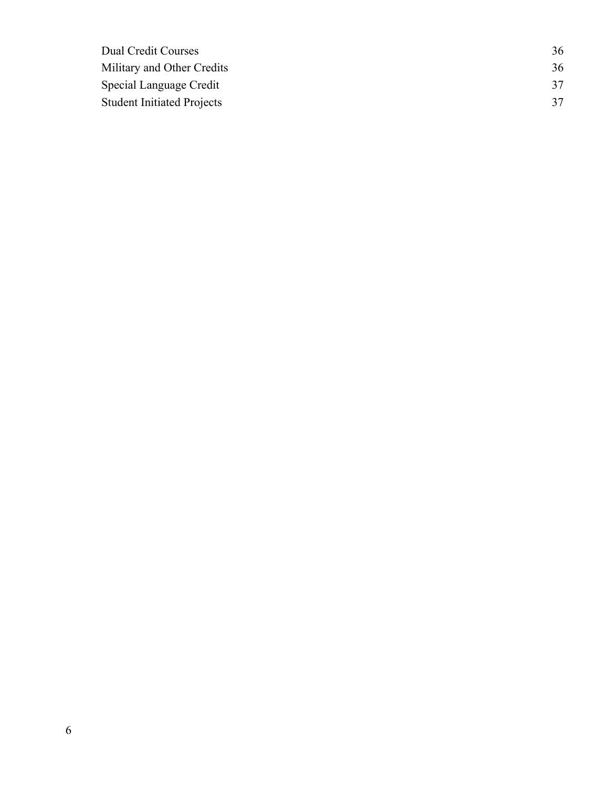| Dual Credit Courses               | 36 |
|-----------------------------------|----|
| Military and Other Credits        | 36 |
| Special Language Credit           | 37 |
| <b>Student Initiated Projects</b> | 37 |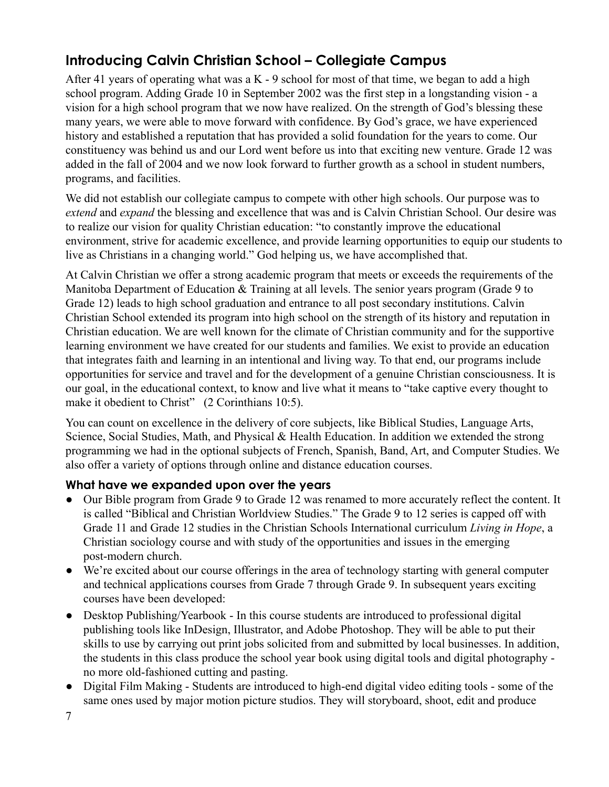## <span id="page-7-0"></span>**Introducing Calvin Christian School – Collegiate Campus**

After 41 years of operating what was a  $K - 9$  school for most of that time, we began to add a high school program. Adding Grade 10 in September 2002 was the first step in a longstanding vision - a vision for a high school program that we now have realized. On the strength of God's blessing these many years, we were able to move forward with confidence. By God's grace, we have experienced history and established a reputation that has provided a solid foundation for the years to come. Our constituency was behind us and our Lord went before us into that exciting new venture. Grade 12 was added in the fall of 2004 and we now look forward to further growth as a school in student numbers, programs, and facilities.

We did not establish our collegiate campus to compete with other high schools. Our purpose was to *extend* and *expand* the blessing and excellence that was and is Calvin Christian School. Our desire was to realize our vision for quality Christian education: "to constantly improve the educational environment, strive for academic excellence, and provide learning opportunities to equip our students to live as Christians in a changing world." God helping us, we have accomplished that.

At Calvin Christian we offer a strong academic program that meets or exceeds the requirements of the Manitoba Department of Education & Training at all levels. The senior years program (Grade 9 to Grade 12) leads to high school graduation and entrance to all post secondary institutions. Calvin Christian School extended its program into high school on the strength of its history and reputation in Christian education. We are well known for the climate of Christian community and for the supportive learning environment we have created for our students and families. We exist to provide an education that integrates faith and learning in an intentional and living way. To that end, our programs include opportunities for service and travel and for the development of a genuine Christian consciousness. It is our goal, in the educational context, to know and live what it means to "take captive every thought to make it obedient to Christ" (2 Corinthians 10:5).

You can count on excellence in the delivery of core subjects, like Biblical Studies, Language Arts, Science, Social Studies, Math, and Physical & Health Education. In addition we extended the strong programming we had in the optional subjects of French, Spanish, Band, Art, and Computer Studies. We also offer a variety of options through online and distance education courses.

#### <span id="page-7-1"></span>**What have we expanded upon over the years**

- Our Bible program from Grade 9 to Grade 12 was renamed to more accurately reflect the content. It is called "Biblical and Christian Worldview Studies." The Grade 9 to 12 series is capped off with Grade 11 and Grade 12 studies in the Christian Schools International curriculum *Living in Hope*, a Christian sociology course and with study of the opportunities and issues in the emerging post-modern church.
- We're excited about our course offerings in the area of technology starting with general computer and technical applications courses from Grade 7 through Grade 9. In subsequent years exciting courses have been developed:
- Desktop Publishing/Yearbook In this course students are introduced to professional digital publishing tools like InDesign, Illustrator, and Adobe Photoshop. They will be able to put their skills to use by carrying out print jobs solicited from and submitted by local businesses. In addition, the students in this class produce the school year book using digital tools and digital photography no more old-fashioned cutting and pasting.
- Digital Film Making Students are introduced to high-end digital video editing tools some of the same ones used by major motion picture studios. They will storyboard, shoot, edit and produce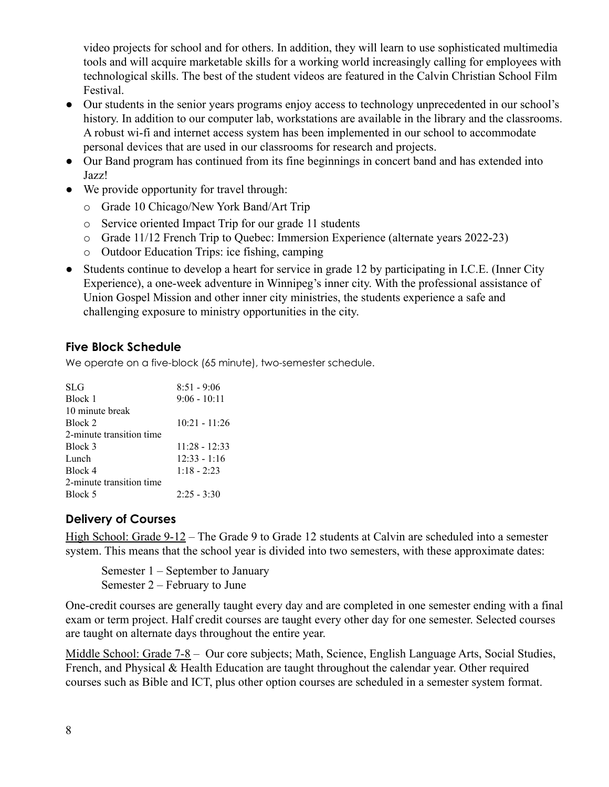video projects for school and for others. In addition, they will learn to use sophisticated multimedia tools and will acquire marketable skills for a working world increasingly calling for employees with technological skills. The best of the student videos are featured in the Calvin Christian School Film Festival.

- Our students in the senior years programs enjoy access to technology unprecedented in our school's history. In addition to our computer lab, workstations are available in the library and the classrooms. A robust wi-fi and internet access system has been implemented in our school to accommodate personal devices that are used in our classrooms for research and projects.
- Our Band program has continued from its fine beginnings in concert band and has extended into Jazz!
- We provide opportunity for travel through:
	- o Grade 10 Chicago/New York Band/Art Trip
	- o Service oriented Impact Trip for our grade 11 students
	- o Grade 11/12 French Trip to Quebec: Immersion Experience (alternate years 2022-23)
	- o Outdoor Education Trips: ice fishing, camping
- Students continue to develop a heart for service in grade 12 by participating in I.C.E. (Inner City Experience), a one-week adventure in Winnipeg's inner city. With the professional assistance of Union Gospel Mission and other inner city ministries, the students experience a safe and challenging exposure to ministry opportunities in the city.

#### <span id="page-8-0"></span>**Five Block Schedule**

We operate on a five-block (65 minute), two-semester schedule.

| SLG                      | $8:51 - 9:06$   |
|--------------------------|-----------------|
| Block 1                  | $9:06 - 10:11$  |
| 10 minute break          |                 |
| Block 2                  | $10:21 - 11:26$ |
| 2-minute transition time |                 |
| Block 3                  | $11:28 - 12:33$ |
| Lunch                    | $12:33 - 1:16$  |
| Block 4                  | $1:18 - 2:23$   |
| 2-minute transition time |                 |
| Block 5                  | $2:25 - 3:30$   |
|                          |                 |

#### <span id="page-8-1"></span>**Delivery of Courses**

High School: Grade 9-12 – The Grade 9 to Grade 12 students at Calvin are scheduled into a semester system. This means that the school year is divided into two semesters, with these approximate dates:

Semester 1 – September to January Semester 2 – February to June

One-credit courses are generally taught every day and are completed in one semester ending with a final exam or term project. Half credit courses are taught every other day for one semester. Selected courses are taught on alternate days throughout the entire year.

Middle School: Grade 7-8 – Our core subjects; Math, Science, English Language Arts, Social Studies, French, and Physical & Health Education are taught throughout the calendar year. Other required courses such as Bible and ICT, plus other option courses are scheduled in a semester system format.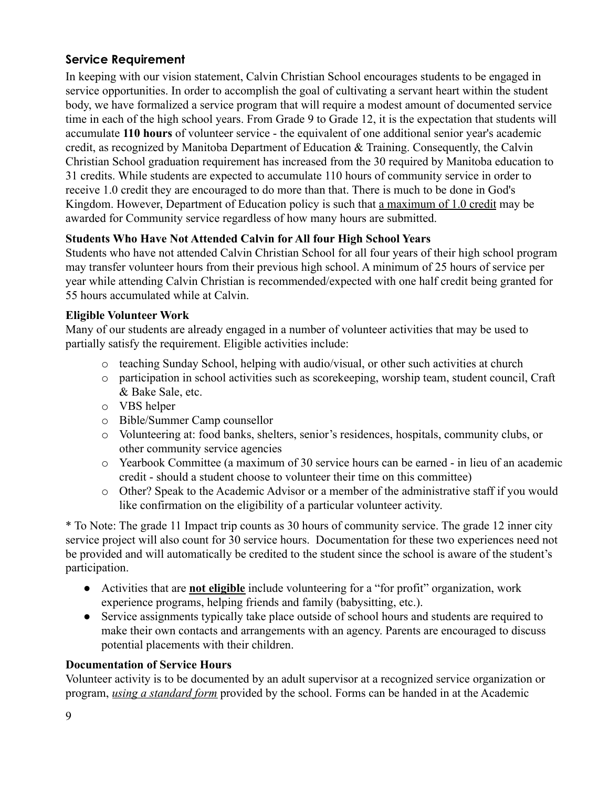#### <span id="page-9-0"></span>**Service Requirement**

In keeping with our vision statement, Calvin Christian School encourages students to be engaged in service opportunities. In order to accomplish the goal of cultivating a servant heart within the student body, we have formalized a service program that will require a modest amount of documented service time in each of the high school years. From Grade 9 to Grade 12, it is the expectation that students will accumulate **110 hours** of volunteer service - the equivalent of one additional senior year's academic credit, as recognized by Manitoba Department of Education & Training. Consequently, the Calvin Christian School graduation requirement has increased from the 30 required by Manitoba education to 31 credits. While students are expected to accumulate 110 hours of community service in order to receive 1.0 credit they are encouraged to do more than that. There is much to be done in God's Kingdom. However, Department of Education policy is such that a maximum of 1.0 credit may be awarded for Community service regardless of how many hours are submitted.

#### **Students Who Have Not Attended Calvin for All four High School Years**

Students who have not attended Calvin Christian School for all four years of their high school program may transfer volunteer hours from their previous high school. A minimum of 25 hours of service per year while attending Calvin Christian is recommended/expected with one half credit being granted for 55 hours accumulated while at Calvin.

#### <span id="page-9-1"></span>**Eligible Volunteer Work**

Many of our students are already engaged in a number of volunteer activities that may be used to partially satisfy the requirement. Eligible activities include:

- o teaching Sunday School, helping with audio/visual, or other such activities at church
- o participation in school activities such as scorekeeping, worship team, student council, Craft & Bake Sale, etc.
- o VBS helper
- o Bible/Summer Camp counsellor
- o Volunteering at: food banks, shelters, senior's residences, hospitals, community clubs, or other community service agencies
- o Yearbook Committee (a maximum of 30 service hours can be earned in lieu of an academic credit - should a student choose to volunteer their time on this committee)
- o Other? Speak to the Academic Advisor or a member of the administrative staff if you would like confirmation on the eligibility of a particular volunteer activity.

\* To Note: The grade 11 Impact trip counts as 30 hours of community service. The grade 12 inner city service project will also count for 30 service hours. Documentation for these two experiences need not be provided and will automatically be credited to the student since the school is aware of the student's participation.

- Activities that are **not eligible** include volunteering for a "for profit" organization, work experience programs, helping friends and family (babysitting, etc.).
- Service assignments typically take place outside of school hours and students are required to make their own contacts and arrangements with an agency. Parents are encouraged to discuss potential placements with their children.

#### **Documentation of Service Hours**

Volunteer activity is to be documented by an adult supervisor at a recognized service organization or program, *using a standard form* provided by the school. Forms can be handed in at the Academic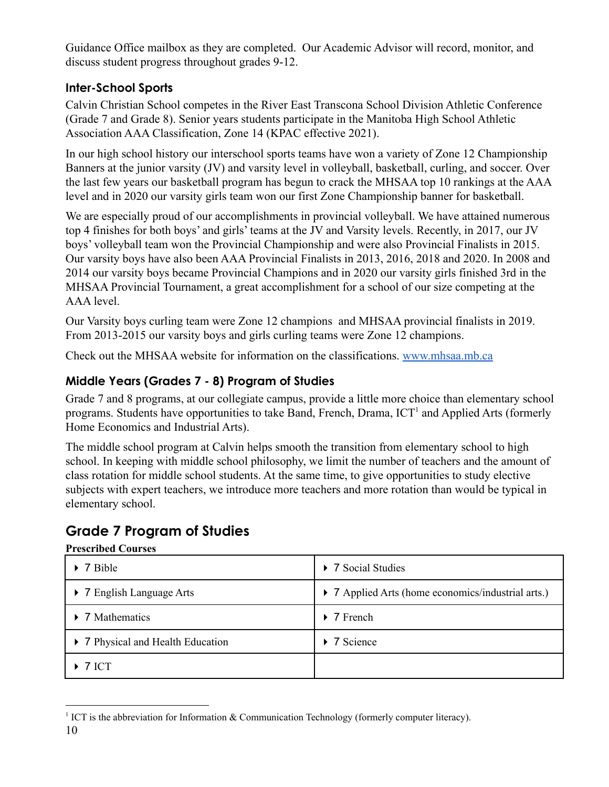Guidance Office mailbox as they are completed. Our Academic Advisor will record, monitor, and discuss student progress throughout grades 9-12.

#### **Inter-School Sports**

Calvin Christian School competes in the River East Transcona School Division Athletic Conference (Grade 7 and Grade 8). Senior years students participate in the Manitoba High School Athletic Association AAA Classification, Zone 14 (KPAC effective 2021).

In our high school history our interschool sports teams have won a variety of Zone 12 Championship Banners at the junior varsity (JV) and varsity level in volleyball, basketball, curling, and soccer. Over the last few years our basketball program has begun to crack the MHSAA top 10 rankings at the AAA level and in 2020 our varsity girls team won our first Zone Championship banner for basketball.

We are especially proud of our accomplishments in provincial volleyball. We have attained numerous top 4 finishes for both boys' and girls' teams at the JV and Varsity levels. Recently, in 2017, our JV boys' volleyball team won the Provincial Championship and were also Provincial Finalists in 2015. Our varsity boys have also been AAA Provincial Finalists in 2013, 2016, 2018 and 2020. In 2008 and 2014 our varsity boys became Provincial Champions and in 2020 our varsity girls finished 3rd in the MHSAA Provincial Tournament, a great accomplishment for a school of our size competing at the AAA level.

Our Varsity boys curling team were Zone 12 champions and MHSAA provincial finalists in 2019. From 2013-2015 our varsity boys and girls curling teams were Zone 12 champions.

Check out the [MHSAA website](http://www.mhsaa.mb.ca/) for information on the classifications. [www.mhsaa.mb.ca](http://www.mhsaa.mb.ca)

### **Middle Years (Grades 7 - 8) Program of Studies**

Grade 7 and 8 programs, at our collegiate campus, provide a little more choice than elementary school programs. Students have opportunities to take Band, French, Drama,  $\text{ICT}^1$  and Applied Arts (formerly Home Economics and Industrial Arts).

The middle school program at Calvin helps smooth the transition from elementary school to high school. In keeping with middle school philosophy, we limit the number of teachers and the amount of class rotation for middle school students. At the same time, to give opportunities to study elective subjects with expert teachers, we introduce more teachers and more rotation than would be typical in elementary school.

## **Grade 7 Program of Studies**

#### **Prescribed Courses**

| $\triangleright$ 7 Bible          | ▶ 7 Social Studies                                 |
|-----------------------------------|----------------------------------------------------|
| ▶ 7 English Language Arts         | • 7 Applied Arts (home economics/industrial arts.) |
| $\triangleright$ 7 Mathematics    | $\triangleright$ 7 French                          |
| • 7 Physical and Health Education | $\triangleright$ 7 Science                         |
| $\triangleright$ 7 ICT            |                                                    |

<sup>&</sup>lt;sup>1</sup> ICT is the abbreviation for Information  $\&$  Communication Technology (formerly computer literacy). 10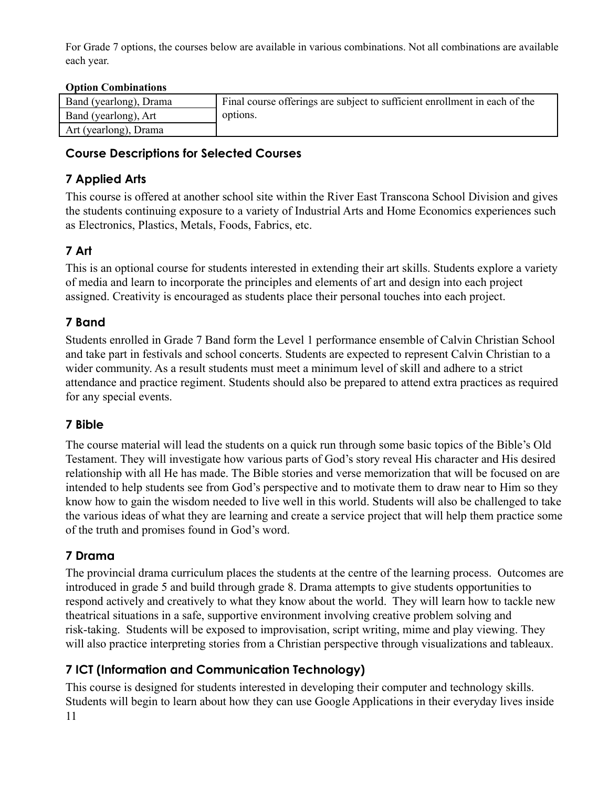For Grade 7 options, the courses below are available in various combinations. Not all combinations are available each year.

#### **Option Combinations**

| Band (yearlong), Drama | Final course offerings are subject to sufficient enrollment in each of the |
|------------------------|----------------------------------------------------------------------------|
| Band (yearlong), Art   | options.                                                                   |
| Art (yearlong), Drama  |                                                                            |

#### <span id="page-11-0"></span>**Course Descriptions for Selected Courses**

#### <span id="page-11-1"></span>**7 Applied Arts**

This course is offered at another school site within the River East Transcona School Division and gives the students continuing exposure to a variety of Industrial Arts and Home Economics experiences such as Electronics, Plastics, Metals, Foods, Fabrics, etc.

### <span id="page-11-2"></span>**7 Art**

This is an optional course for students interested in extending their art skills. Students explore a variety of media and learn to incorporate the principles and elements of art and design into each project assigned. Creativity is encouraged as students place their personal touches into each project.

### **7 Band**

Students enrolled in Grade 7 Band form the Level 1 performance ensemble of Calvin Christian School and take part in festivals and school concerts. Students are expected to represent Calvin Christian to a wider community. As a result students must meet a minimum level of skill and adhere to a strict attendance and practice regiment. Students should also be prepared to attend extra practices as required for any special events.

#### **7 Bible**

The course material will lead the students on a quick run through some basic topics of the Bible's Old Testament. They will investigate how various parts of God's story reveal His character and His desired relationship with all He has made. The Bible stories and verse memorization that will be focused on are intended to help students see from God's perspective and to motivate them to draw near to Him so they know how to gain the wisdom needed to live well in this world. Students will also be challenged to take the various ideas of what they are learning and create a service project that will help them practice some of the truth and promises found in God's word.

#### <span id="page-11-3"></span>**7 Drama**

The provincial drama curriculum places the students at the centre of the learning process. Outcomes are introduced in grade 5 and build through grade 8. Drama attempts to give students opportunities to respond actively and creatively to what they know about the world. They will learn how to tackle new theatrical situations in a safe, supportive environment involving creative problem solving and risk-taking. Students will be exposed to improvisation, script writing, mime and play viewing. They will also practice interpreting stories from a Christian perspective through visualizations and tableaux.

### <span id="page-11-4"></span>**7 ICT (Information and Communication Technology)**

This course is designed for students interested in developing their computer and technology skills. Students will begin to learn about how they can use Google Applications in their everyday lives inside 11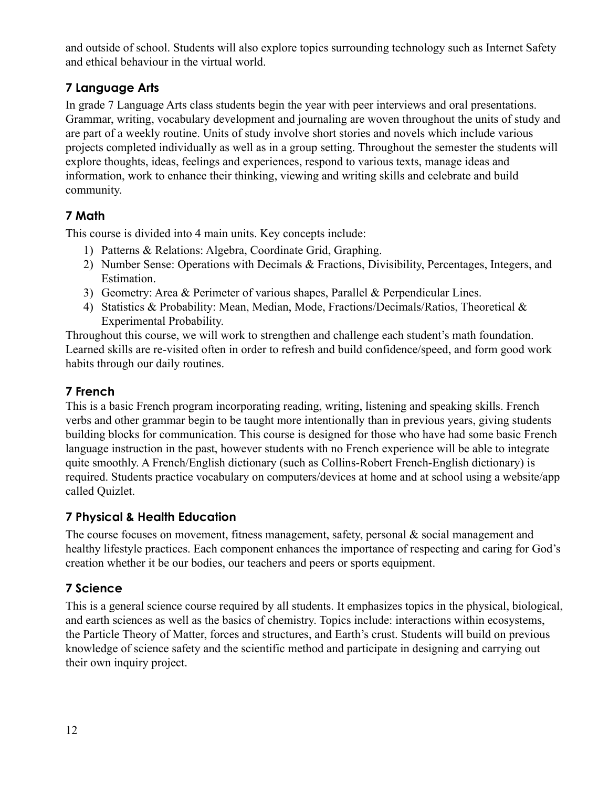and outside of school. Students will also explore topics surrounding technology such as Internet Safety and ethical behaviour in the virtual world.

#### <span id="page-12-0"></span>**7 Language Arts**

In grade 7 Language Arts class students begin the year with peer interviews and oral presentations. Grammar, writing, vocabulary development and journaling are woven throughout the units of study and are part of a weekly routine. Units of study involve short stories and novels which include various projects completed individually as well as in a group setting. Throughout the semester the students will explore thoughts, ideas, feelings and experiences, respond to various texts, manage ideas and information, work to enhance their thinking, viewing and writing skills and celebrate and build community.

### <span id="page-12-1"></span>**7 Math**

This course is divided into 4 main units. Key concepts include:

- 1) Patterns & Relations: Algebra, Coordinate Grid, Graphing.
- 2) Number Sense: Operations with Decimals & Fractions, Divisibility, Percentages, Integers, and Estimation.
- 3) Geometry: Area & Perimeter of various shapes, Parallel & Perpendicular Lines.
- 4) Statistics & Probability: Mean, Median, Mode, Fractions/Decimals/Ratios, Theoretical & Experimental Probability.

Throughout this course, we will work to strengthen and challenge each student's math foundation. Learned skills are re-visited often in order to refresh and build confidence/speed, and form good work habits through our daily routines.

#### **7 French**

This is a basic French program incorporating reading, writing, listening and speaking skills. French verbs and other grammar begin to be taught more intentionally than in previous years, giving students building blocks for communication. This course is designed for those who have had some basic French language instruction in the past, however students with no French experience will be able to integrate quite smoothly. A French/English dictionary (such as Collins-Robert French-English dictionary) is required. Students practice vocabulary on computers/devices at home and at school using a website/app called Quizlet.

#### <span id="page-12-2"></span>**7 Physical & Health Education**

The course focuses on movement, fitness management, safety, personal & social management and healthy lifestyle practices. Each component enhances the importance of respecting and caring for God's creation whether it be our bodies, our teachers and peers or sports equipment.

### <span id="page-12-3"></span>**7 Science**

This is a general science course required by all students. It emphasizes topics in the physical, biological, and earth sciences as well as the basics of chemistry. Topics include: interactions within ecosystems, the Particle Theory of Matter, forces and structures, and Earth's crust. Students will build on previous knowledge of science safety and the scientific method and participate in designing and carrying out their own inquiry project.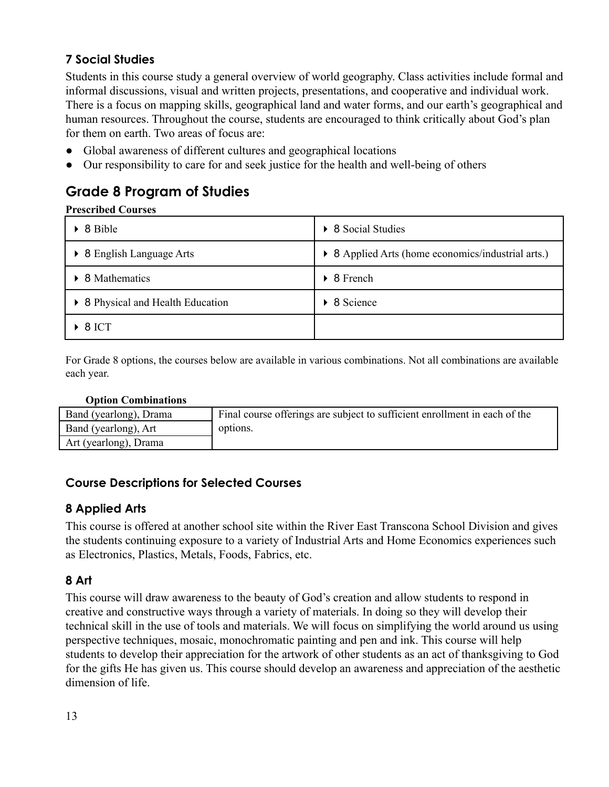### <span id="page-13-0"></span>**7 Social Studies**

Students in this course study a general overview of world geography. Class activities include formal and informal discussions, visual and written projects, presentations, and cooperative and individual work. There is a focus on mapping skills, geographical land and water forms, and our earth's geographical and human resources. Throughout the course, students are encouraged to think critically about God's plan for them on earth. Two areas of focus are:

- Global awareness of different cultures and geographical locations
- Our responsibility to care for and seek justice for the health and well-being of others

## <span id="page-13-1"></span>**Grade 8 Program of Studies**

#### **Prescribed Courses**

| $\triangleright$ 8 Bible          | 8 Social Studies                                   |
|-----------------------------------|----------------------------------------------------|
| ▶ 8 English Language Arts         | • 8 Applied Arts (home economics/industrial arts.) |
| • 8 Mathematics                   | 8 French<br>$\blacktriangleright$                  |
| • 8 Physical and Health Education | 8 Science                                          |
| $\triangleright$ 8 ICT            |                                                    |

For Grade 8 options, the courses below are available in various combinations. Not all combinations are available each year.

| Band (yearlong), Drama | Final course offerings are subject to sufficient enrollment in each of the |
|------------------------|----------------------------------------------------------------------------|
| Band (yearlong), Art   | options.                                                                   |
| Art (yearlong), Drama  |                                                                            |

#### <span id="page-13-2"></span>**Course Descriptions for Selected Courses**

#### <span id="page-13-3"></span>**8 Applied Arts**

This course is offered at another school site within the River East Transcona School Division and gives the students continuing exposure to a variety of Industrial Arts and Home Economics experiences such as Electronics, Plastics, Metals, Foods, Fabrics, etc.

#### <span id="page-13-4"></span>**8 Art**

This course will draw awareness to the beauty of God's creation and allow students to respond in creative and constructive ways through a variety of materials. In doing so they will develop their technical skill in the use of tools and materials. We will focus on simplifying the world around us using perspective techniques, mosaic, monochromatic painting and pen and ink. This course will help students to develop their appreciation for the artwork of other students as an act of thanksgiving to God for the gifts He has given us. This course should develop an awareness and appreciation of the aesthetic dimension of life.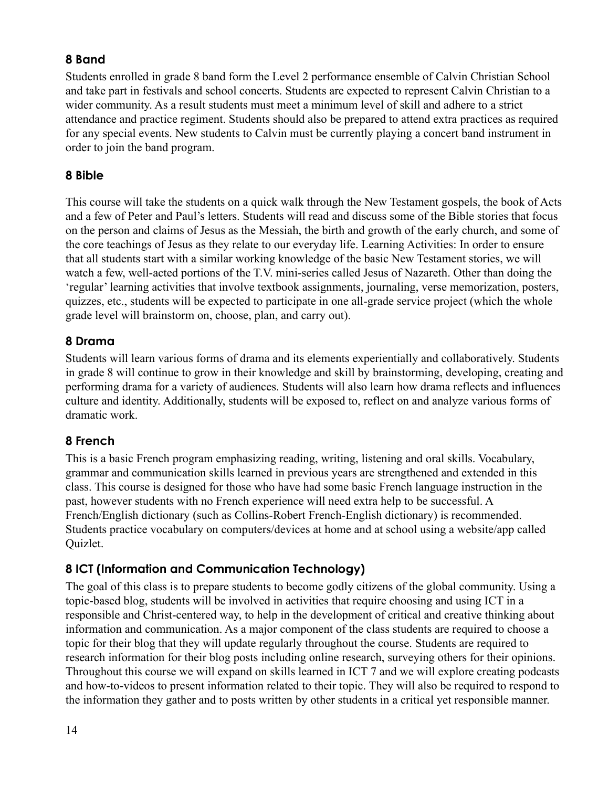#### <span id="page-14-0"></span>**8 Band**

Students enrolled in grade 8 band form the Level 2 performance ensemble of Calvin Christian School and take part in festivals and school concerts. Students are expected to represent Calvin Christian to a wider community. As a result students must meet a minimum level of skill and adhere to a strict attendance and practice regiment. Students should also be prepared to attend extra practices as required for any special events. New students to Calvin must be currently playing a concert band instrument in order to join the band program.

#### **8 Bible**

This course will take the students on a quick walk through the New Testament gospels, the book of Acts and a few of Peter and Paul's letters. Students will read and discuss some of the Bible stories that focus on the person and claims of Jesus as the Messiah, the birth and growth of the early church, and some of the core teachings of Jesus as they relate to our everyday life. Learning Activities: In order to ensure that all students start with a similar working knowledge of the basic New Testament stories, we will watch a few, well-acted portions of the T.V. mini-series called Jesus of Nazareth. Other than doing the 'regular' learning activities that involve textbook assignments, journaling, verse memorization, posters, quizzes, etc., students will be expected to participate in one all-grade service project (which the whole grade level will brainstorm on, choose, plan, and carry out).

#### <span id="page-14-1"></span>**8 Drama**

Students will learn various forms of drama and its elements experientially and collaboratively. Students in grade 8 will continue to grow in their knowledge and skill by brainstorming, developing, creating and performing drama for a variety of audiences. Students will also learn how drama reflects and influences culture and identity. Additionally, students will be exposed to, reflect on and analyze various forms of dramatic work.

#### <span id="page-14-2"></span>**8 French**

This is a basic French program emphasizing reading, writing, listening and oral skills. Vocabulary, grammar and communication skills learned in previous years are strengthened and extended in this class. This course is designed for those who have had some basic French language instruction in the past, however students with no French experience will need extra help to be successful. A French/English dictionary (such as Collins-Robert French-English dictionary) is recommended. Students practice vocabulary on computers/devices at home and at school using a website/app called Quizlet.

#### <span id="page-14-3"></span>**8 ICT (Information and Communication Technology)**

The goal of this class is to prepare students to become godly citizens of the global community. Using a topic-based blog, students will be involved in activities that require choosing and using ICT in a responsible and Christ-centered way, to help in the development of critical and creative thinking about information and communication. As a major component of the class students are required to choose a topic for their blog that they will update regularly throughout the course. Students are required to research information for their blog posts including online research, surveying others for their opinions. Throughout this course we will expand on skills learned in ICT 7 and we will explore creating podcasts and how-to-videos to present information related to their topic. They will also be required to respond to the information they gather and to posts written by other students in a critical yet responsible manner.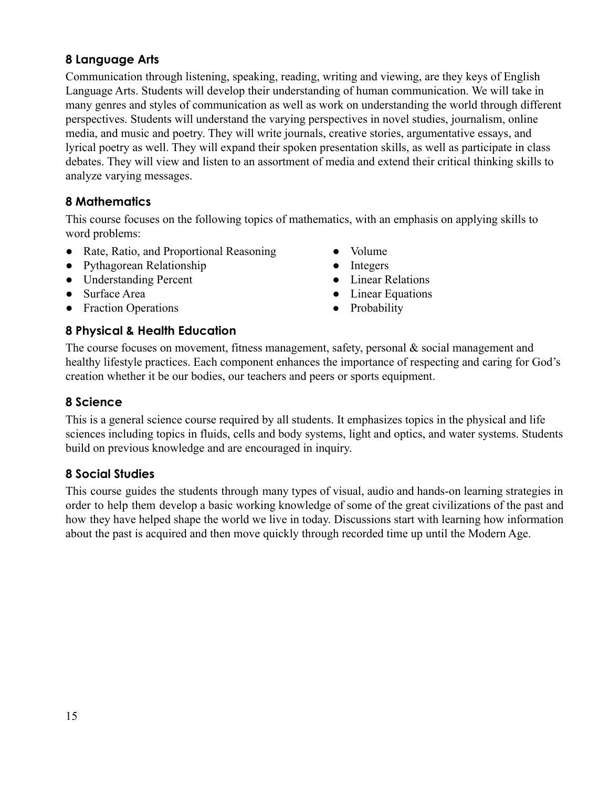#### <span id="page-15-0"></span>**8 Language Arts**

Communication through listening, speaking, reading, writing and viewing, are they keys of English Language Arts. Students will develop their understanding of human communication. We will take in many genres and styles of communication as well as work on understanding the world through different perspectives. Students will understand the varying perspectives in novel studies, journalism, online media, and music and poetry. They will write journals, creative stories, argumentative essays, and lyrical poetry as well. They will expand their spoken presentation skills, as well as participate in class debates. They will view and listen to an assortment of media and extend their critical thinking skills to analyze varying messages.

### <span id="page-15-1"></span>**8 Mathematics**

This course focuses on the following topics of mathematics, with an emphasis on applying skills to word problems:

- Rate, Ratio, and Proportional Reasoning
- Pythagorean Relationship
- Understanding Percent
- Surface Area
- Fraction Operations
- Volume
- Integers
- Linear Relations
- Linear Equations
- **●** Probability

#### <span id="page-15-2"></span>**8 Physical & Health Education**

The course focuses on movement, fitness management, safety, personal  $\&$  social management and healthy lifestyle practices. Each component enhances the importance of respecting and caring for God's creation whether it be our bodies, our teachers and peers or sports equipment.

#### <span id="page-15-3"></span>**8 Science**

This is a general science course required by all students. It emphasizes topics in the physical and life sciences including topics in fluids, cells and body systems, light and optics, and water systems. Students build on previous knowledge and are encouraged in inquiry.

#### <span id="page-15-4"></span>**8 Social Studies**

This course guides the students through many types of visual, audio and hands-on learning strategies in order to help them develop a basic working knowledge of some of the great civilizations of the past and how they have helped shape the world we live in today. Discussions start with learning how information about the past is acquired and then move quickly through recorded time up until the Modern Age.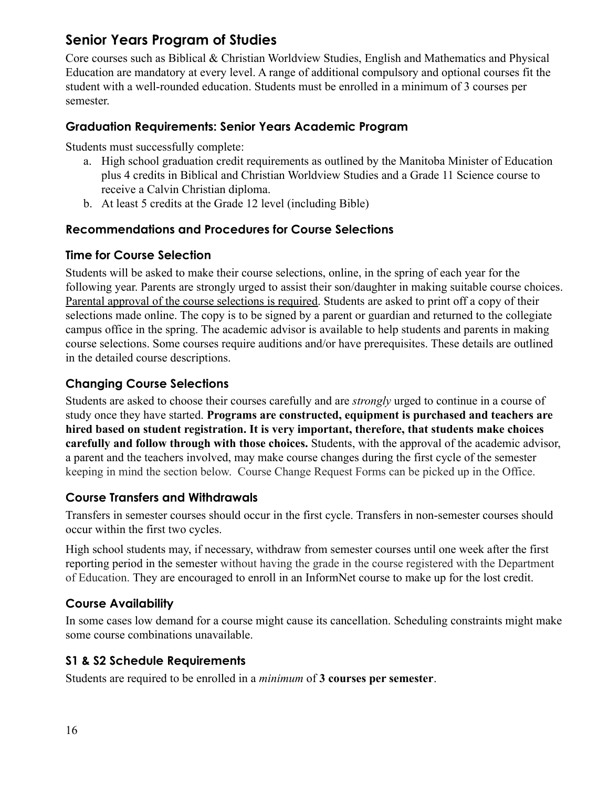## <span id="page-16-0"></span>**Senior Years Program of Studies**

Core courses such as Biblical & Christian Worldview Studies, English and Mathematics and Physical Education are mandatory at every level. A range of additional compulsory and optional courses fit the student with a well-rounded education. Students must be enrolled in a minimum of 3 courses per semester.

#### <span id="page-16-1"></span>**Graduation Requirements: Senior Years Academic Program**

Students must successfully complete:

- a. High school graduation credit requirements as outlined by the Manitoba Minister of Education plus 4 credits in Biblical and Christian Worldview Studies and a Grade 11 Science course to receive a Calvin Christian diploma.
- b. At least 5 credits at the Grade 12 level (including Bible)

#### <span id="page-16-2"></span>**Recommendations and Procedures for Course Selections**

#### <span id="page-16-3"></span>**Time for Course Selection**

Students will be asked to make their course selections, online, in the spring of each year for the following year. Parents are strongly urged to assist their son/daughter in making suitable course choices. Parental approval of the course selections is required. Students are asked to print off a copy of their selections made online. The copy is to be signed by a parent or guardian and returned to the collegiate campus office in the spring. The academic advisor is available to help students and parents in making course selections. Some courses require auditions and/or have prerequisites. These details are outlined in the detailed course descriptions.

#### <span id="page-16-4"></span>**Changing Course Selections**

Students are asked to choose their courses carefully and are *strongly* urged to continue in a course of study once they have started. **Programs are constructed, equipment is purchased and teachers are hired based on student registration. It is very important, therefore, that students make choices carefully and follow through with those choices.** Students, with the approval of the academic advisor, a parent and the teachers involved, may make course changes during the first cycle of the semester keeping in mind the section below. Course Change Request Forms can be picked up in the Office.

#### <span id="page-16-5"></span>**Course Transfers and Withdrawals**

Transfers in semester courses should occur in the first cycle. Transfers in non-semester courses should occur within the first two cycles.

High school students may, if necessary, withdraw from semester courses until one week after the first reporting period in the semester without having the grade in the course registered with the Department of Education. They are encouraged to enroll in an InformNet course to make up for the lost credit.

#### <span id="page-16-6"></span>**Course Availability**

In some cases low demand for a course might cause its cancellation. Scheduling constraints might make some course combinations unavailable.

#### **S1 & S2 Schedule Requirements**

Students are required to be enrolled in a *minimum* of **3 courses per semester**.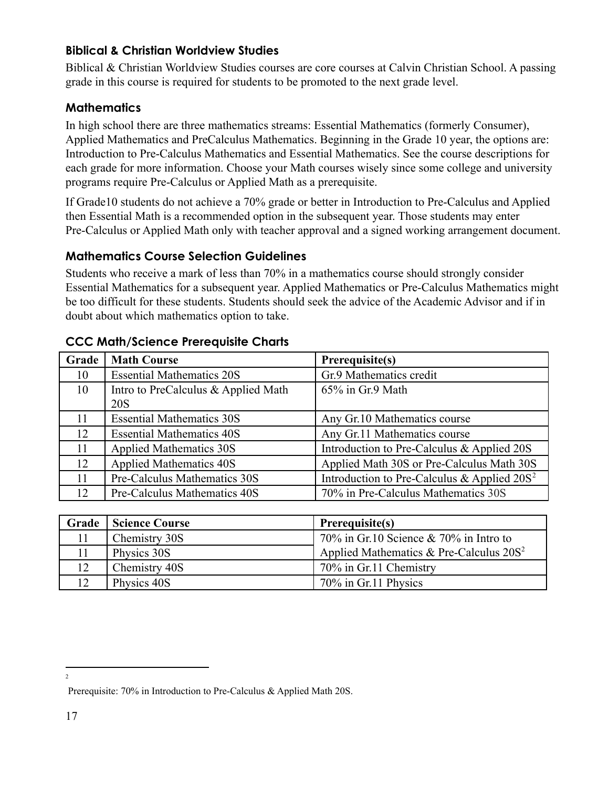#### <span id="page-17-0"></span>**Biblical & Christian Worldview Studies**

Biblical & Christian Worldview Studies courses are core courses at Calvin Christian School. A passing grade in this course is required for students to be promoted to the next grade level.

#### <span id="page-17-1"></span>**Mathematics**

In high school there are three mathematics streams: Essential Mathematics (formerly Consumer), Applied Mathematics and PreCalculus Mathematics. Beginning in the Grade 10 year, the options are: Introduction to Pre-Calculus Mathematics and Essential Mathematics. See the course descriptions for each grade for more information. Choose your Math courses wisely since some college and university programs require Pre-Calculus or Applied Math as a prerequisite.

If Grade10 students do not achieve a 70% grade or better in Introduction to Pre-Calculus and Applied then Essential Math is a recommended option in the subsequent year. Those students may enter Pre-Calculus or Applied Math only with teacher approval and a signed working arrangement document.

#### <span id="page-17-2"></span>**Mathematics Course Selection Guidelines**

Students who receive a mark of less than 70% in a mathematics course should strongly consider Essential Mathematics for a subsequent year. Applied Mathematics or Pre-Calculus Mathematics might be too difficult for these students. Students should seek the advice of the Academic Advisor and if in doubt about which mathematics option to take.

| Grade | <b>Math Course</b>                  | Prerequisite(s)                                |
|-------|-------------------------------------|------------------------------------------------|
| 10    | <b>Essential Mathematics 20S</b>    | Gr.9 Mathematics credit                        |
| 10    | Intro to PreCalculus & Applied Math | 65% in Gr.9 Math                               |
|       | <b>20S</b>                          |                                                |
| 11    | <b>Essential Mathematics 30S</b>    | Any Gr.10 Mathematics course                   |
| 12    | <b>Essential Mathematics 40S</b>    | Any Gr.11 Mathematics course                   |
| 11    | <b>Applied Mathematics 30S</b>      | Introduction to Pre-Calculus & Applied 20S     |
| 12    | <b>Applied Mathematics 40S</b>      | Applied Math 30S or Pre-Calculus Math 30S      |
| 11    | Pre-Calculus Mathematics 30S        | Introduction to Pre-Calculus & Applied $20S^2$ |
| 12    | Pre-Calculus Mathematics 40S        | 70% in Pre-Calculus Mathematics 30S            |

#### <span id="page-17-3"></span>**CCC Math/Science Prerequisite Charts**

|    | Grade   Science Course | Prerequisite(s)                            |
|----|------------------------|--------------------------------------------|
|    | Chemistry 30S          | 70% in Gr.10 Science $& 70\%$ in Intro to  |
|    | Physics 30S            | Applied Mathematics & Pre-Calculus $20S^2$ |
| 12 | Chemistry 40S          | 70% in Gr.11 Chemistry                     |
| 12 | Physics 40S            | 70% in Gr.11 Physics                       |

<sup>2</sup>

Prerequisite: 70% in Introduction to Pre-Calculus & Applied Math 20S.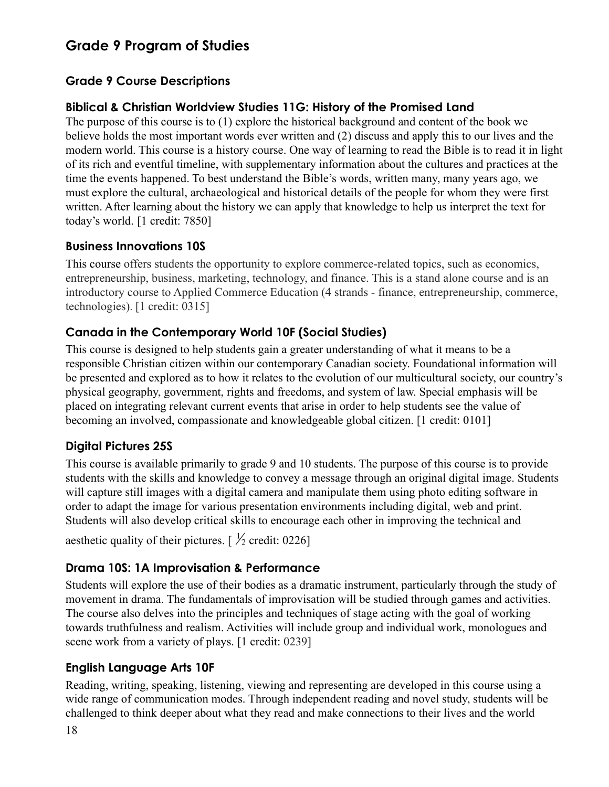## **Grade 9 Program of Studies**

#### **Grade 9 Course Descriptions**

#### **Biblical & Christian Worldview Studies 11G: History of the Promised Land**

The purpose of this course is to (1) explore the historical background and content of the book we believe holds the most important words ever written and (2) discuss and apply this to our lives and the modern world. This course is a history course. One way of learning to read the Bible is to read it in light of its rich and eventful timeline, with supplementary information about the cultures and practices at the time the events happened. To best understand the Bible's words, written many, many years ago, we must explore the cultural, archaeological and historical details of the people for whom they were first written. After learning about the history we can apply that knowledge to help us interpret the text for today's world. [1 credit: 7850]

#### <span id="page-18-0"></span>**Business Innovations 10S**

This course offers students the opportunity to explore commerce-related topics, such as economics, entrepreneurship, business, marketing, technology, and finance. This is a stand alone course and is an introductory course to Applied Commerce Education (4 strands - finance, entrepreneurship, commerce, technologies). [1 credit: 0315]

### <span id="page-18-1"></span>**Canada in the Contemporary World 10F (Social Studies)**

This course is designed to help students gain a greater understanding of what it means to be a responsible Christian citizen within our contemporary Canadian society. Foundational information will be presented and explored as to how it relates to the evolution of our multicultural society, our country's physical geography, government, rights and freedoms, and system of law. Special emphasis will be placed on integrating relevant current events that arise in order to help students see the value of becoming an involved, compassionate and knowledgeable global citizen. [1 credit: 0101]

#### <span id="page-18-2"></span>**Digital Pictures 25S**

This course is available primarily to grade 9 and 10 students. The purpose of this course is to provide students with the skills and knowledge to convey a message through an original digital image. Students will capture still images with a digital camera and manipulate them using photo editing software in order to adapt the image for various presentation environments including digital, web and print. Students will also develop critical skills to encourage each other in improving the technical and

aesthetic quality of their pictures.  $\frac{1}{2}$  credit: 0226]

#### <span id="page-18-3"></span>**Drama 10S: 1A Improvisation & Performance**

Students will explore the use of their bodies as a dramatic instrument, particularly through the study of movement in drama. The fundamentals of improvisation will be studied through games and activities. The course also delves into the principles and techniques of stage acting with the goal of working towards truthfulness and realism. Activities will include group and individual work, monologues and scene work from a variety of plays. [1 credit: 0239]

#### <span id="page-18-4"></span>**English Language Arts 10F**

Reading, writing, speaking, listening, viewing and representing are developed in this course using a wide range of communication modes. Through independent reading and novel study, students will be challenged to think deeper about what they read and make connections to their lives and the world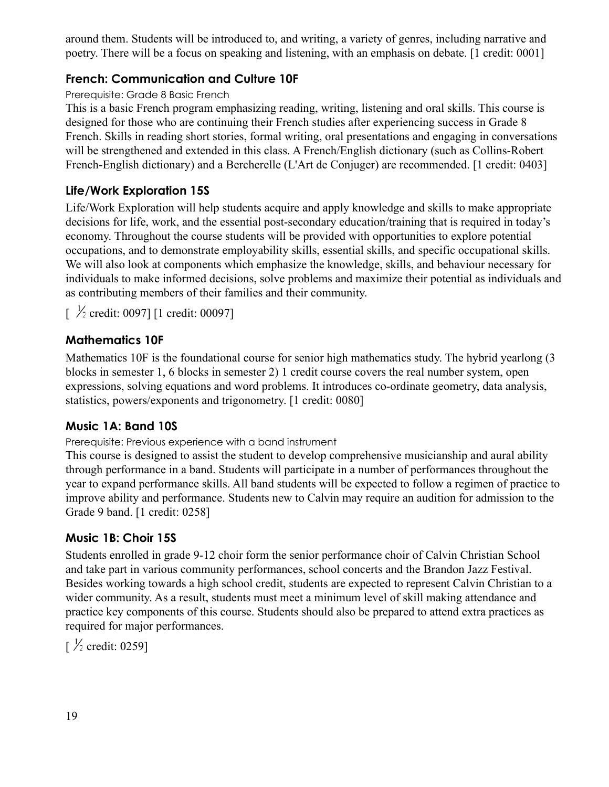around them. Students will be introduced to, and writing, a variety of genres, including narrative and poetry. There will be a focus on speaking and listening, with an emphasis on debate. [1 credit: 0001]

#### <span id="page-19-0"></span>**French: Communication and Culture 10F**

#### Prerequisite: Grade 8 Basic French

This is a basic French program emphasizing reading, writing, listening and oral skills. This course is designed for those who are continuing their French studies after experiencing success in Grade 8 French. Skills in reading short stories, formal writing, oral presentations and engaging in conversations will be strengthened and extended in this class. A French/English dictionary (such as Collins-Robert French-English dictionary) and a Bercherelle (L'Art de Conjuger) are recommended. [1 credit: 0403]

#### <span id="page-19-1"></span>**Life/Work Exploration 15S**

Life/Work Exploration will help students acquire and apply knowledge and skills to make appropriate decisions for life, work, and the essential post-secondary education/training that is required in today's economy. Throughout the course students will be provided with opportunities to explore potential occupations, and to demonstrate employability skills, essential skills, and specific occupational skills. We will also look at components which emphasize the knowledge, skills, and behaviour necessary for individuals to make informed decisions, solve problems and maximize their potential as individuals and as contributing members of their families and their community.

 $\frac{1}{2}$  credit: 0097] [1 credit: 00097]

#### <span id="page-19-2"></span>**Mathematics 10F**

Mathematics 10F is the foundational course for senior high mathematics study. The hybrid yearlong (3 blocks in semester 1, 6 blocks in semester 2) 1 credit course covers the real number system, open expressions, solving equations and word problems. It introduces co-ordinate geometry, data analysis, statistics, powers/exponents and trigonometry. [1 credit: 0080]

#### <span id="page-19-3"></span>**Music 1A: Band 10S**

Prerequisite: Previous experience with a band instrument

This course is designed to assist the student to develop comprehensive musicianship and aural ability through performance in a band. Students will participate in a number of performances throughout the year to expand performance skills. All band students will be expected to follow a regimen of practice to improve ability and performance. Students new to Calvin may require an audition for admission to the Grade 9 band. [1 credit: 0258]

#### <span id="page-19-4"></span>**Music 1B: Choir 15S**

Students enrolled in grade 9-12 choir form the senior performance choir of Calvin Christian School and take part in various community performances, school concerts and the Brandon Jazz Festival. Besides working towards a high school credit, students are expected to represent Calvin Christian to a wider community. As a result, students must meet a minimum level of skill making attendance and practice key components of this course. Students should also be prepared to attend extra practices as required for major performances.

 $\frac{1}{2}$  credit: 0259]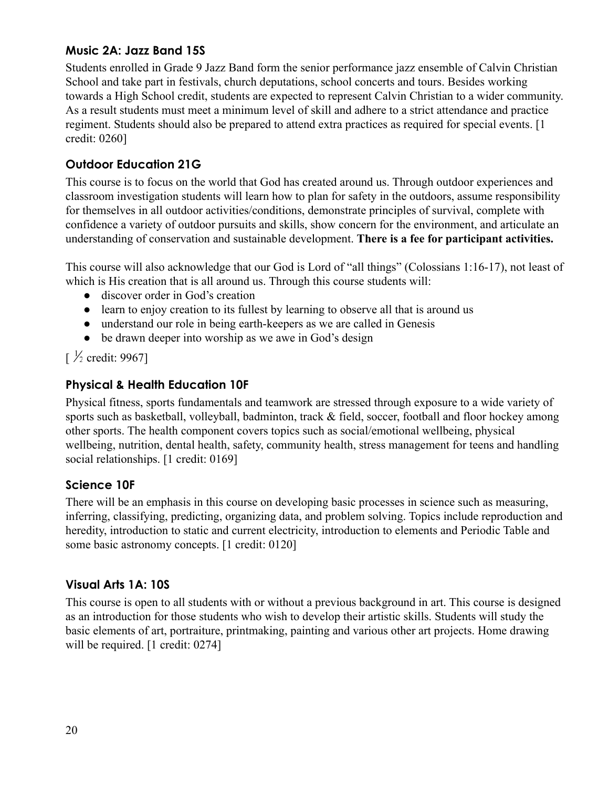#### <span id="page-20-0"></span>**Music 2A: Jazz Band 15S**

Students enrolled in Grade 9 Jazz Band form the senior performance jazz ensemble of Calvin Christian School and take part in festivals, church deputations, school concerts and tours. Besides working towards a High School credit, students are expected to represent Calvin Christian to a wider community. As a result students must meet a minimum level of skill and adhere to a strict attendance and practice regiment. Students should also be prepared to attend extra practices as required for special events. [1 credit: 0260]

#### <span id="page-20-1"></span>**Outdoor Education 21G**

This course is to focus on the world that God has created around us. Through outdoor experiences and classroom investigation students will learn how to plan for safety in the outdoors, assume responsibility for themselves in all outdoor activities/conditions, demonstrate principles of survival, complete with confidence a variety of outdoor pursuits and skills, show concern for the environment, and articulate an understanding of conservation and sustainable development. **There is a fee for participant activities.**

This course will also acknowledge that our God is Lord of "all things" (Colossians 1:16-17), not least of which is His creation that is all around us. Through this course students will:

- discover order in God's creation
- learn to enjoy creation to its fullest by learning to observe all that is around us
- understand our role in being earth-keepers as we are called in Genesis
- be drawn deeper into worship as we awe in God's design

 $\frac{1}{2}$  credit: 9967]

### <span id="page-20-2"></span>**Physical & Health Education 10F**

Physical fitness, sports fundamentals and teamwork are stressed through exposure to a wide variety of sports such as basketball, volleyball, badminton, track & field, soccer, football and floor hockey among other sports. The health component covers topics such as social/emotional wellbeing, physical wellbeing, nutrition, dental health, safety, community health, stress management for teens and handling social relationships. [1 credit: 0169]

#### <span id="page-20-3"></span>**Science 10F**

There will be an emphasis in this course on developing basic processes in science such as measuring, inferring, classifying, predicting, organizing data, and problem solving. Topics include reproduction and heredity, introduction to static and current electricity, introduction to elements and Periodic Table and some basic astronomy concepts. [1 credit: 0120]

### <span id="page-20-4"></span>**Visual Arts 1A: 10S**

This course is open to all students with or without a previous background in art. This course is designed as an introduction for those students who wish to develop their artistic skills. Students will study the basic elements of art, portraiture, printmaking, painting and various other art projects. Home drawing will be required. [1 credit: 0274]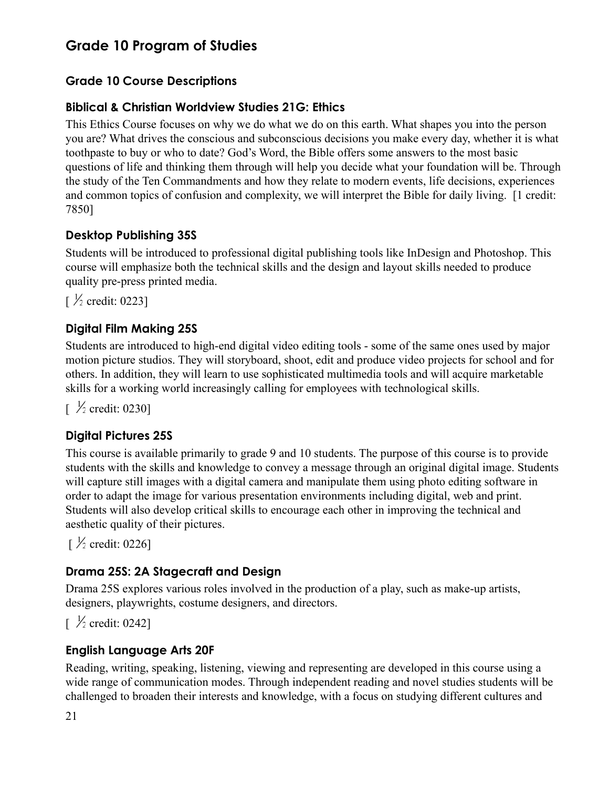## **Grade 10 Program of Studies**

### **Grade 10 Course Descriptions**

#### <span id="page-21-0"></span>**Biblical & Christian Worldview Studies 21G: Ethics**

This Ethics Course focuses on why we do what we do on this earth. What shapes you into the person you are? What drives the conscious and subconscious decisions you make every day, whether it is what toothpaste to buy or who to date? God's Word, the Bible offers some answers to the most basic questions of life and thinking them through will help you decide what your foundation will be. Through the study of the Ten Commandments and how they relate to modern events, life decisions, experiences and common topics of confusion and complexity, we will interpret the Bible for daily living. [1 credit: 7850]

#### <span id="page-21-1"></span>**Desktop Publishing 35S**

Students will be introduced to professional digital publishing tools like InDesign and Photoshop. This course will emphasize both the technical skills and the design and layout skills needed to produce quality pre-press printed media.

 $\frac{1}{2}$  credit: 0223]

#### <span id="page-21-2"></span>**Digital Film Making 25S**

Students are introduced to high-end digital video editing tools - some of the same ones used by major motion picture studios. They will storyboard, shoot, edit and produce video projects for school and for others. In addition, they will learn to use sophisticated multimedia tools and will acquire marketable skills for a working world increasingly calling for employees with technological skills.

 $\frac{1}{2}$  credit: 0230]

#### <span id="page-21-3"></span>**Digital Pictures 25S**

This course is available primarily to grade 9 and 10 students. The purpose of this course is to provide students with the skills and knowledge to convey a message through an original digital image. Students will capture still images with a digital camera and manipulate them using photo editing software in order to adapt the image for various presentation environments including digital, web and print. Students will also develop critical skills to encourage each other in improving the technical and aesthetic quality of their pictures.

 $\frac{1}{2}$  credit: 0226]

#### <span id="page-21-4"></span>**Drama 25S: 2A Stagecraft and Design**

Drama 25S explores various roles involved in the production of a play, such as make-up artists, designers, playwrights, costume designers, and directors.

 $\frac{1}{2}$  credit: 0242]

#### <span id="page-21-5"></span>**English Language Arts 20F**

Reading, writing, speaking, listening, viewing and representing are developed in this course using a wide range of communication modes. Through independent reading and novel studies students will be challenged to broaden their interests and knowledge, with a focus on studying different cultures and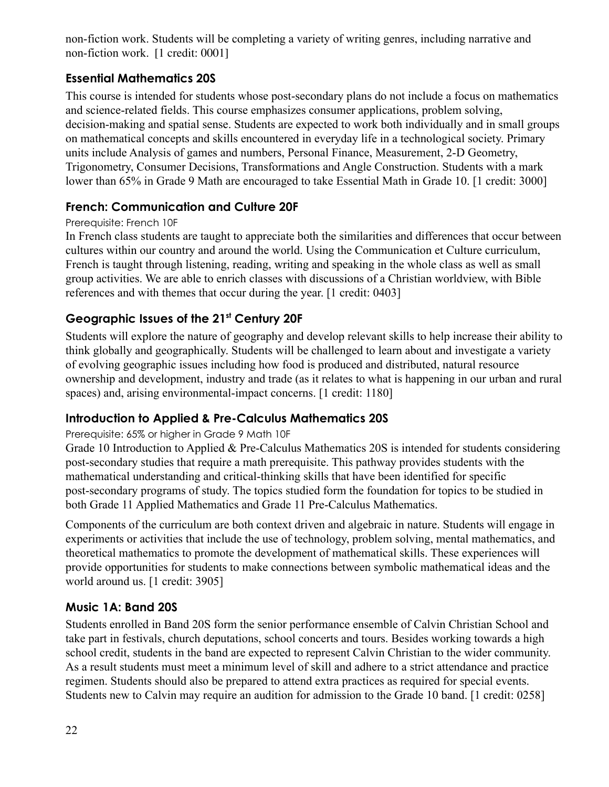non-fiction work. Students will be completing a variety of writing genres, including narrative and non-fiction work. [1 credit: 0001]

### <span id="page-22-0"></span>**Essential Mathematics 20S**

This course is intended for students whose post-secondary plans do not include a focus on mathematics and science-related fields. This course emphasizes consumer applications, problem solving, decision-making and spatial sense. Students are expected to work both individually and in small groups on mathematical concepts and skills encountered in everyday life in a technological society. Primary units include Analysis of games and numbers, Personal Finance, Measurement, 2-D Geometry, Trigonometry, Consumer Decisions, Transformations and Angle Construction. Students with a mark lower than 65% in Grade 9 Math are encouraged to take Essential Math in Grade 10. [1 credit: 3000]

### <span id="page-22-1"></span>**French: Communication and Culture 20F**

#### Prerequisite: French 10F

In French class students are taught to appreciate both the similarities and differences that occur between cultures within our country and around the world. Using the Communication et Culture curriculum, French is taught through listening, reading, writing and speaking in the whole class as well as small group activities. We are able to enrich classes with discussions of a Christian worldview, with Bible references and with themes that occur during the year. [1 credit: 0403]

### <span id="page-22-2"></span>**Geographic Issues of the 21st Century 20F**

Students will explore the nature of geography and develop relevant skills to help increase their ability to think globally and geographically. Students will be challenged to learn about and investigate a variety of evolving geographic issues including how food is produced and distributed, natural resource ownership and development, industry and trade (as it relates to what is happening in our urban and rural spaces) and, arising environmental-impact concerns. [1 credit: 1180]

#### <span id="page-22-3"></span>**Introduction to Applied & Pre-Calculus Mathematics 20S**

#### Prerequisite: 65% or higher in Grade 9 Math 10F

Grade 10 Introduction to Applied & Pre-Calculus Mathematics 20S is intended for students considering post-secondary studies that require a math prerequisite. This pathway provides students with the mathematical understanding and critical-thinking skills that have been identified for specific post-secondary programs of study. The topics studied form the foundation for topics to be studied in both Grade 11 Applied Mathematics and Grade 11 Pre-Calculus Mathematics.

Components of the curriculum are both context driven and algebraic in nature. Students will engage in experiments or activities that include the use of technology, problem solving, mental mathematics, and theoretical mathematics to promote the development of mathematical skills. These experiences will provide opportunities for students to make connections between symbolic mathematical ideas and the world around us. [1 credit: 3905]

#### <span id="page-22-4"></span>**Music 1A: Band 20S**

Students enrolled in Band 20S form the senior performance ensemble of Calvin Christian School and take part in festivals, church deputations, school concerts and tours. Besides working towards a high school credit, students in the band are expected to represent Calvin Christian to the wider community. As a result students must meet a minimum level of skill and adhere to a strict attendance and practice regimen. Students should also be prepared to attend extra practices as required for special events. Students new to Calvin may require an audition for admission to the Grade 10 band. [1 credit: 0258]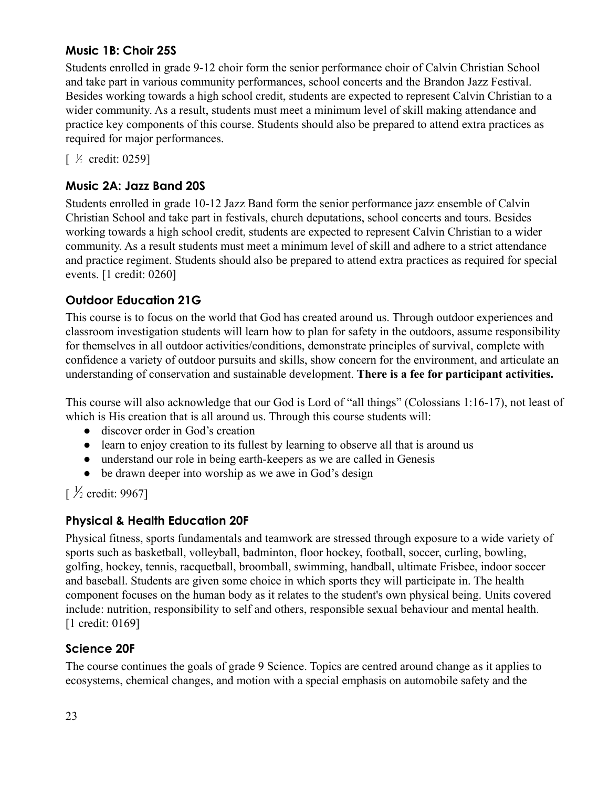#### <span id="page-23-0"></span>**Music 1B: Choir 25S**

Students enrolled in grade 9-12 choir form the senior performance choir of Calvin Christian School and take part in various community performances, school concerts and the Brandon Jazz Festival. Besides working towards a high school credit, students are expected to represent Calvin Christian to a wider community. As a result, students must meet a minimum level of skill making attendance and practice key components of this course. Students should also be prepared to attend extra practices as required for major performances.

 $\lceil \frac{1}{2} \text{ credit}: 0259 \rceil$ 

### <span id="page-23-1"></span>**Music 2A: Jazz Band 20S**

Students enrolled in grade 10-12 Jazz Band form the senior performance jazz ensemble of Calvin Christian School and take part in festivals, church deputations, school concerts and tours. Besides working towards a high school credit, students are expected to represent Calvin Christian to a wider community. As a result students must meet a minimum level of skill and adhere to a strict attendance and practice regiment. Students should also be prepared to attend extra practices as required for special events. [1 credit: 0260]

### <span id="page-23-2"></span>**Outdoor Education 21G**

This course is to focus on the world that God has created around us. Through outdoor experiences and classroom investigation students will learn how to plan for safety in the outdoors, assume responsibility for themselves in all outdoor activities/conditions, demonstrate principles of survival, complete with confidence a variety of outdoor pursuits and skills, show concern for the environment, and articulate an understanding of conservation and sustainable development. **There is a fee for participant activities.**

This course will also acknowledge that our God is Lord of "all things" (Colossians 1:16-17), not least of which is His creation that is all around us. Through this course students will:

- discover order in God's creation
- learn to enjoy creation to its fullest by learning to observe all that is around us
- understand our role in being earth-keepers as we are called in Genesis
- be drawn deeper into worship as we awe in God's design

 $\lceil \frac{1}{2} \text{ credit: } 9967 \rceil$ 

#### <span id="page-23-3"></span>**Physical & Health Education 20F**

Physical fitness, sports fundamentals and teamwork are stressed through exposure to a wide variety of sports such as basketball, volleyball, badminton, floor hockey, football, soccer, curling, bowling, golfing, hockey, tennis, racquetball, broomball, swimming, handball, ultimate Frisbee, indoor soccer and baseball. Students are given some choice in which sports they will participate in. The health component focuses on the human body as it relates to the student's own physical being. Units covered include: nutrition, responsibility to self and others, responsible sexual behaviour and mental health. [1 credit: 0169]

#### <span id="page-23-4"></span>**Science 20F**

The course continues the goals of grade 9 Science. Topics are centred around change as it applies to ecosystems, chemical changes, and motion with a special emphasis on automobile safety and the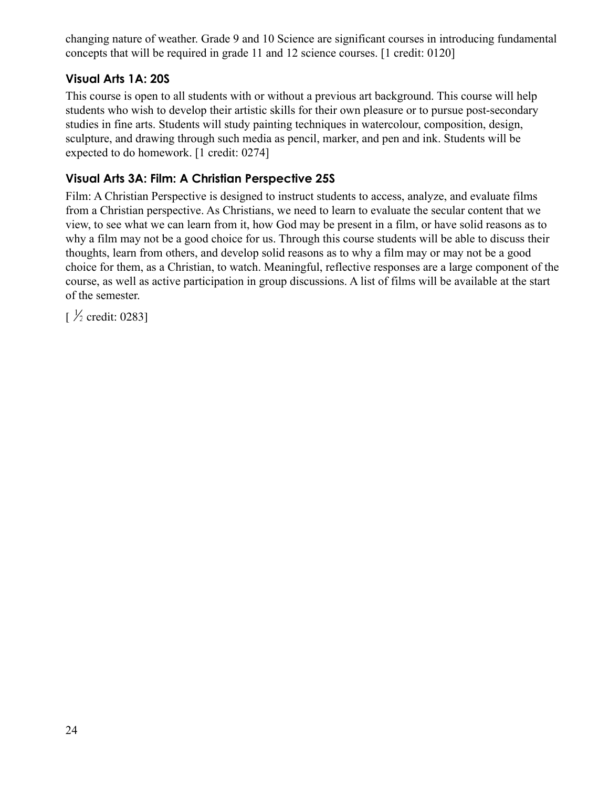changing nature of weather. Grade 9 and 10 Science are significant courses in introducing fundamental concepts that will be required in grade 11 and 12 science courses. [1 credit: 0120]

#### <span id="page-24-0"></span>**Visual Arts 1A: 20S**

This course is open to all students with or without a previous art background. This course will help students who wish to develop their artistic skills for their own pleasure or to pursue post-secondary studies in fine arts. Students will study painting techniques in watercolour, composition, design, sculpture, and drawing through such media as pencil, marker, and pen and ink. Students will be expected to do homework. [1 credit: 0274]

### <span id="page-24-1"></span>**Visual Arts 3A: Film: A Christian Perspective 25S**

Film: A Christian Perspective is designed to instruct students to access, analyze, and evaluate films from a Christian perspective. As Christians, we need to learn to evaluate the secular content that we view, to see what we can learn from it, how God may be present in a film, or have solid reasons as to why a film may not be a good choice for us. Through this course students will be able to discuss their thoughts, learn from others, and develop solid reasons as to why a film may or may not be a good choice for them, as a Christian, to watch. Meaningful, reflective responses are a large component of the course, as well as active participation in group discussions. A list of films will be available at the start of the semester.

<span id="page-24-2"></span> $\frac{1}{2}$  credit: 0283]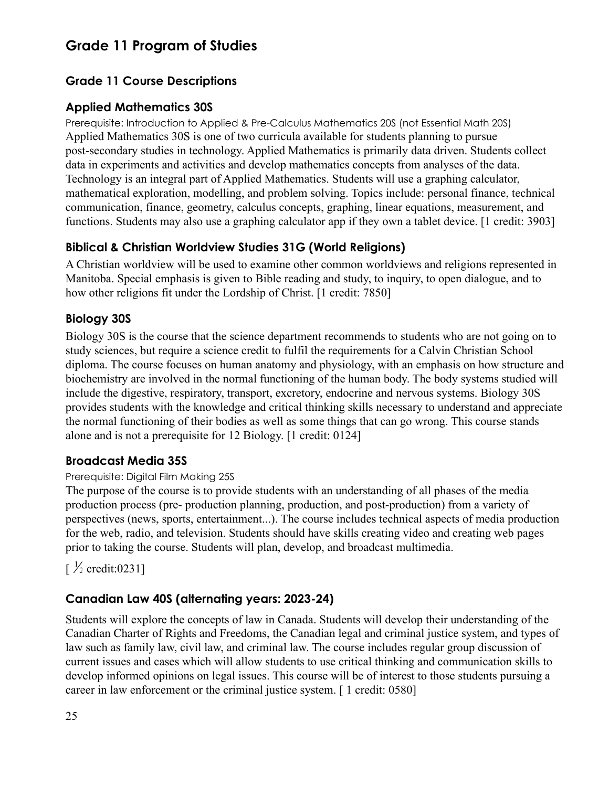## **Grade 11 Program of Studies**

### **Grade 11 Course Descriptions**

#### <span id="page-25-0"></span>**Applied Mathematics 30S**

Prerequisite: Introduction to Applied & Pre-Calculus Mathematics 20S (not Essential Math 20S) Applied Mathematics 30S is one of two curricula available for students planning to pursue post-secondary studies in technology. Applied Mathematics is primarily data driven. Students collect data in experiments and activities and develop mathematics concepts from analyses of the data. Technology is an integral part of Applied Mathematics. Students will use a graphing calculator, mathematical exploration, modelling, and problem solving. Topics include: personal finance, technical communication, finance, geometry, calculus concepts, graphing, linear equations, measurement, and functions. Students may also use a graphing calculator app if they own a tablet device. [1 credit: 3903]

#### <span id="page-25-1"></span>**Biblical & Christian Worldview Studies 31G (World Religions)**

A Christian worldview will be used to examine other common worldviews and religions represented in Manitoba. Special emphasis is given to Bible reading and study, to inquiry, to open dialogue, and to how other religions fit under the Lordship of Christ. [1 credit: 7850]

#### <span id="page-25-2"></span>**Biology 30S**

Biology 30S is the course that the science department recommends to students who are not going on to study sciences, but require a science credit to fulfil the requirements for a Calvin Christian School diploma. The course focuses on human anatomy and physiology, with an emphasis on how structure and biochemistry are involved in the normal functioning of the human body. The body systems studied will include the digestive, respiratory, transport, excretory, endocrine and nervous systems. Biology 30S provides students with the knowledge and critical thinking skills necessary to understand and appreciate the normal functioning of their bodies as well as some things that can go wrong. This course stands alone and is not a prerequisite for 12 Biology. [1 credit: 0124]

#### **Broadcast Media 35S**

#### Prerequisite: Digital Film Making 25S

The purpose of the course is to provide students with an understanding of all phases of the media production process (pre- production planning, production, and post-production) from a variety of perspectives (news, sports, entertainment...). The course includes technical aspects of media production for the web, radio, and television. Students should have skills creating video and creating web pages prior to taking the course. Students will plan, develop, and broadcast multimedia.

## $\frac{1}{2}$  credit:0231]

#### **Canadian Law 40S (alternating years: 2023-24)**

Students will explore the concepts of law in Canada. Students will develop their understanding of the Canadian Charter of Rights and Freedoms, the Canadian legal and criminal justice system, and types of law such as family law, civil law, and criminal law. The course includes regular group discussion of current issues and cases which will allow students to use critical thinking and communication skills to develop informed opinions on legal issues. This course will be of interest to those students pursuing a career in law enforcement or the criminal justice system. [ 1 credit: 0580]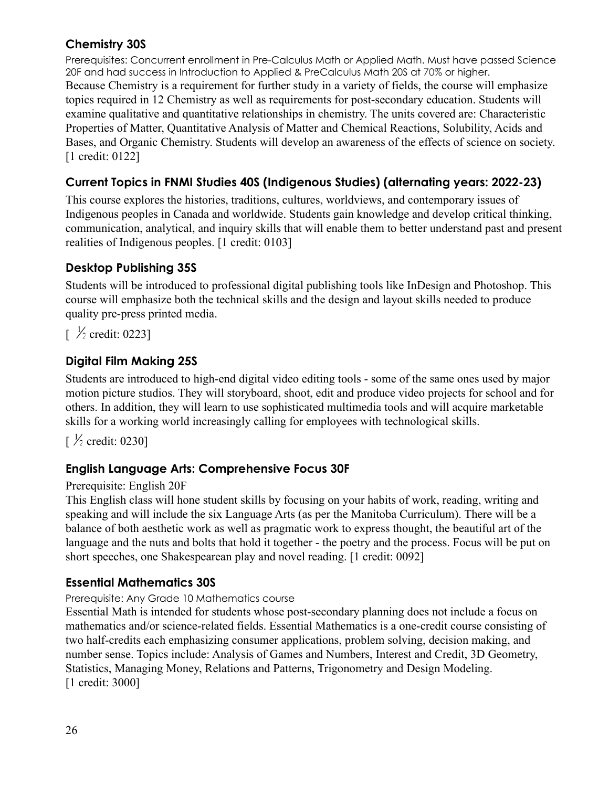#### <span id="page-26-0"></span>**Chemistry 30S**

Prerequisites: Concurrent enrollment in Pre-Calculus Math or Applied Math. Must have passed Science 20F and had success in Introduction to Applied & PreCalculus Math 20S at 70% or higher. Because Chemistry is a requirement for further study in a variety of fields, the course will emphasize topics required in 12 Chemistry as well as requirements for post-secondary education. Students will examine qualitative and quantitative relationships in chemistry. The units covered are: Characteristic Properties of Matter, Quantitative Analysis of Matter and Chemical Reactions, Solubility, Acids and Bases, and Organic Chemistry. Students will develop an awareness of the effects of science on society. [1 credit: 0122]

### **Current Topics in FNMI Studies 40S (Indigenous Studies) (alternating years: 2022-23)**

This course explores the histories, traditions, cultures, worldviews, and contemporary issues of Indigenous peoples in Canada and worldwide. Students gain knowledge and develop critical thinking, communication, analytical, and inquiry skills that will enable them to better understand past and present realities of Indigenous peoples. [1 credit: 0103]

### **Desktop Publishing 35S**

Students will be introduced to professional digital publishing tools like InDesign and Photoshop. This course will emphasize both the technical skills and the design and layout skills needed to produce quality pre-press printed media.

 $\lceil \frac{\frac{1}{2}}{\text{credit: } 0223 \rceil} \rceil$ 

### <span id="page-26-1"></span>**Digital Film Making 25S**

Students are introduced to high-end digital video editing tools - some of the same ones used by major motion picture studios. They will storyboard, shoot, edit and produce video projects for school and for others. In addition, they will learn to use sophisticated multimedia tools and will acquire marketable skills for a working world increasingly calling for employees with technological skills.

 $\frac{1}{2}$  credit: 0230]

#### <span id="page-26-2"></span>**English Language Arts: Comprehensive Focus 30F**

#### Prerequisite: English 20F

This English class will hone student skills by focusing on your habits of work, reading, writing and speaking and will include the six Language Arts (as per the Manitoba Curriculum). There will be a balance of both aesthetic work as well as pragmatic work to express thought, the beautiful art of the language and the nuts and bolts that hold it together - the poetry and the process. Focus will be put on short speeches, one Shakespearean play and novel reading. [1 credit: 0092]

#### <span id="page-26-3"></span>**Essential Mathematics 30S**

#### Prerequisite: Any Grade 10 Mathematics course

Essential Math is intended for students whose post-secondary planning does not include a focus on mathematics and/or science-related fields. Essential Mathematics is a one-credit course consisting of two half-credits each emphasizing consumer applications, problem solving, decision making, and number sense. Topics include: Analysis of Games and Numbers, Interest and Credit, 3D Geometry, Statistics, Managing Money, Relations and Patterns, Trigonometry and Design Modeling. [1 credit: 3000]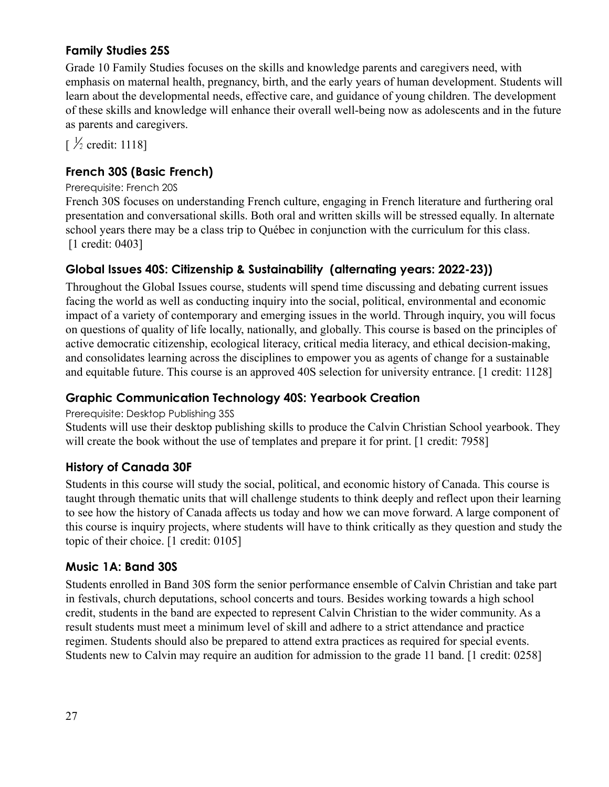#### **Family Studies 25S**

Grade 10 Family Studies focuses on the skills and knowledge parents and caregivers need, with emphasis on maternal health, pregnancy, birth, and the early years of human development. Students will learn about the developmental needs, effective care, and guidance of young children. The development of these skills and knowledge will enhance their overall well-being now as adolescents and in the future as parents and caregivers.

 $\frac{1}{2}$  credit: 1118]

#### **French 30S (Basic French)**

#### Prerequisite: French 20S

French 30S focuses on understanding French culture, engaging in French literature and furthering oral presentation and conversational skills. Both oral and written skills will be stressed equally. In alternate school years there may be a class trip to Québec in conjunction with the curriculum for this class. [1 credit: 0403]

#### **Global Issues 40S: Citizenship & Sustainability (alternating years: 2022-23))**

Throughout the Global Issues course, students will spend time discussing and debating current issues facing the world as well as conducting inquiry into the social, political, environmental and economic impact of a variety of contemporary and emerging issues in the world. Through inquiry, you will focus on questions of quality of life locally, nationally, and globally. This course is based on the principles of active democratic citizenship, ecological literacy, critical media literacy, and ethical decision-making, and consolidates learning across the disciplines to empower you as agents of change for a sustainable and equitable future. This course is an approved 40S selection for university entrance. [1 credit: 1128]

#### <span id="page-27-0"></span>**Graphic Communication Technology 40S: Yearbook Creation**

#### Prerequisite: Desktop Publishing 35S

Students will use their desktop publishing skills to produce the Calvin Christian School yearbook. They will create the book without the use of templates and prepare it for print. [1 credit: 7958]

#### <span id="page-27-1"></span>**History of Canada 30F**

Students in this course will study the social, political, and economic history of Canada. This course is taught through thematic units that will challenge students to think deeply and reflect upon their learning to see how the history of Canada affects us today and how we can move forward. A large component of this course is inquiry projects, where students will have to think critically as they question and study the topic of their choice. [1 credit: 0105]

#### <span id="page-27-2"></span>**Music 1A: Band 30S**

Students enrolled in Band 30S form the senior performance ensemble of Calvin Christian and take part in festivals, church deputations, school concerts and tours. Besides working towards a high school credit, students in the band are expected to represent Calvin Christian to the wider community. As a result students must meet a minimum level of skill and adhere to a strict attendance and practice regimen. Students should also be prepared to attend extra practices as required for special events. Students new to Calvin may require an audition for admission to the grade 11 band. [1 credit: 0258]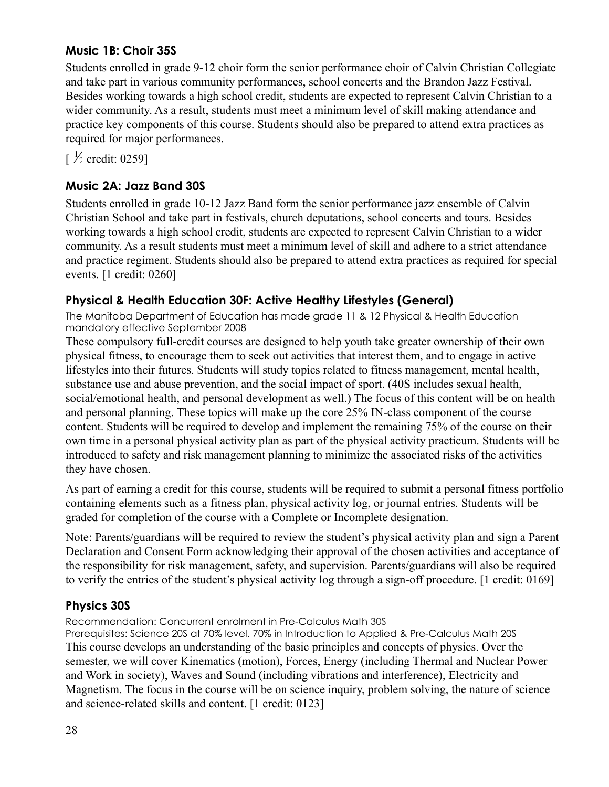#### <span id="page-28-0"></span>**Music 1B: Choir 35S**

Students enrolled in grade 9-12 choir form the senior performance choir of Calvin Christian Collegiate and take part in various community performances, school concerts and the Brandon Jazz Festival. Besides working towards a high school credit, students are expected to represent Calvin Christian to a wider community. As a result, students must meet a minimum level of skill making attendance and practice key components of this course. Students should also be prepared to attend extra practices as required for major performances.

 $\frac{1}{2}$  credit: 0259]

### <span id="page-28-1"></span>**Music 2A: Jazz Band 30S**

Students enrolled in grade 10-12 Jazz Band form the senior performance jazz ensemble of Calvin Christian School and take part in festivals, church deputations, school concerts and tours. Besides working towards a high school credit, students are expected to represent Calvin Christian to a wider community. As a result students must meet a minimum level of skill and adhere to a strict attendance and practice regiment. Students should also be prepared to attend extra practices as required for special events. [1 credit: 0260]

#### <span id="page-28-2"></span>**Physical & Health Education 30F: Active Healthy Lifestyles (General)**

The Manitoba Department of Education has made grade 11 & 12 Physical & Health Education mandatory effective September 2008

These compulsory full-credit courses are designed to help youth take greater ownership of their own physical fitness, to encourage them to seek out activities that interest them, and to engage in active lifestyles into their futures. Students will study topics related to fitness management, mental health, substance use and abuse prevention, and the social impact of sport. (40S includes sexual health, social/emotional health, and personal development as well.) The focus of this content will be on health and personal planning. These topics will make up the core 25% IN-class component of the course content. Students will be required to develop and implement the remaining 75% of the course on their own time in a personal physical activity plan as part of the physical activity practicum. Students will be introduced to safety and risk management planning to minimize the associated risks of the activities they have chosen.

As part of earning a credit for this course, students will be required to submit a personal fitness portfolio containing elements such as a fitness plan, physical activity log, or journal entries. Students will be graded for completion of the course with a Complete or Incomplete designation.

Note: Parents/guardians will be required to review the student's physical activity plan and sign a Parent Declaration and Consent Form acknowledging their approval of the chosen activities and acceptance of the responsibility for risk management, safety, and supervision. Parents/guardians will also be required to verify the entries of the student's physical activity log through a sign-off procedure. [1 credit: 0169]

#### <span id="page-28-3"></span>**Physics 30S**

Recommendation: Concurrent enrolment in Pre-Calculus Math 30S

Prerequisites: Science 20S at 70% level. 70% in Introduction to Applied & Pre-Calculus Math 20S This course develops an understanding of the basic principles and concepts of physics. Over the semester, we will cover Kinematics (motion), Forces, Energy (including Thermal and Nuclear Power and Work in society), Waves and Sound (including vibrations and interference), Electricity and Magnetism. The focus in the course will be on science inquiry, problem solving, the nature of science and science-related skills and content. [1 credit: 0123]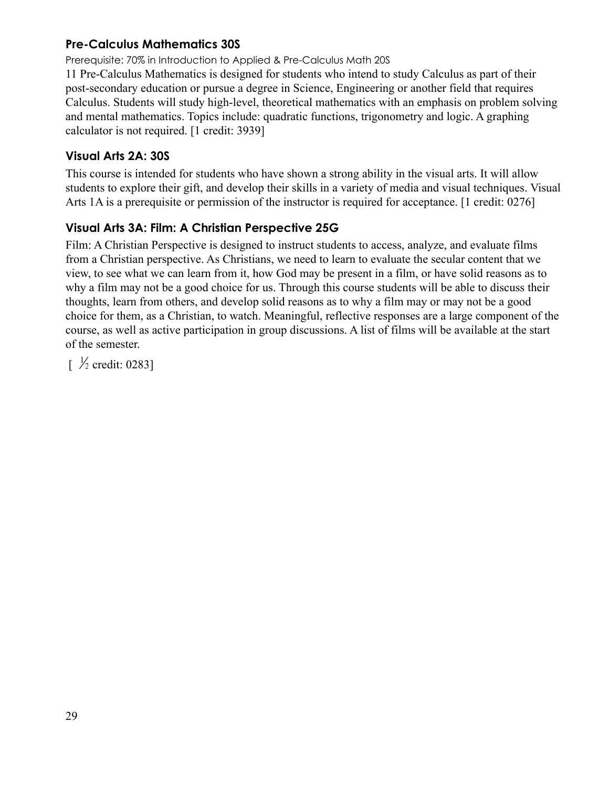#### <span id="page-29-0"></span>**Pre-Calculus Mathematics 30S**

Prerequisite: 70% in Introduction to Applied & Pre-Calculus Math 20S

11 Pre-Calculus Mathematics is designed for students who intend to study Calculus as part of their post-secondary education or pursue a degree in Science, Engineering or another field that requires Calculus. Students will study high-level, theoretical mathematics with an emphasis on problem solving and mental mathematics. Topics include: quadratic functions, trigonometry and logic. A graphing calculator is not required. [1 credit: 3939]

#### <span id="page-29-1"></span>**Visual Arts 2A: 30S**

This course is intended for students who have shown a strong ability in the visual arts. It will allow students to explore their gift, and develop their skills in a variety of media and visual techniques. Visual Arts 1A is a prerequisite or permission of the instructor is required for acceptance. [1 credit: 0276]

#### <span id="page-29-2"></span>**Visual Arts 3A: Film: A Christian Perspective 25G**

Film: A Christian Perspective is designed to instruct students to access, analyze, and evaluate films from a Christian perspective. As Christians, we need to learn to evaluate the secular content that we view, to see what we can learn from it, how God may be present in a film, or have solid reasons as to why a film may not be a good choice for us. Through this course students will be able to discuss their thoughts, learn from others, and develop solid reasons as to why a film may or may not be a good choice for them, as a Christian, to watch. Meaningful, reflective responses are a large component of the course, as well as active participation in group discussions. A list of films will be available at the start of the semester.

 $\frac{1}{2}$  credit: 0283]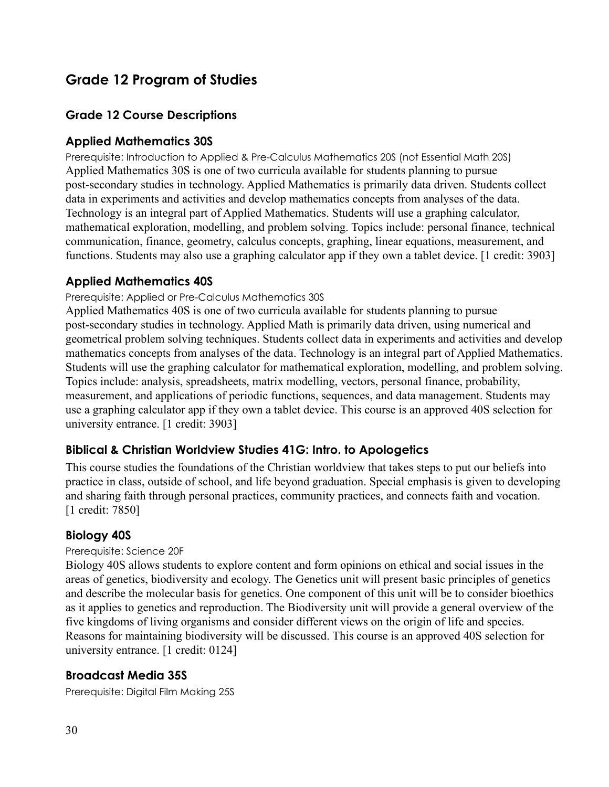## <span id="page-30-0"></span>**Grade 12 Program of Studies**

#### **Grade 12 Course Descriptions**

#### <span id="page-30-1"></span>**Applied Mathematics 30S**

Prerequisite: Introduction to Applied & Pre-Calculus Mathematics 20S (not Essential Math 20S) Applied Mathematics 30S is one of two curricula available for students planning to pursue post-secondary studies in technology. Applied Mathematics is primarily data driven. Students collect data in experiments and activities and develop mathematics concepts from analyses of the data. Technology is an integral part of Applied Mathematics. Students will use a graphing calculator, mathematical exploration, modelling, and problem solving. Topics include: personal finance, technical communication, finance, geometry, calculus concepts, graphing, linear equations, measurement, and functions. Students may also use a graphing calculator app if they own a tablet device. [1 credit: 3903]

#### <span id="page-30-2"></span>**Applied Mathematics 40S**

#### Prerequisite: Applied or Pre-Calculus Mathematics 30S

Applied Mathematics 40S is one of two curricula available for students planning to pursue post-secondary studies in technology. Applied Math is primarily data driven, using numerical and geometrical problem solving techniques. Students collect data in experiments and activities and develop mathematics concepts from analyses of the data. Technology is an integral part of Applied Mathematics. Students will use the graphing calculator for mathematical exploration, modelling, and problem solving. Topics include: analysis, spreadsheets, matrix modelling, vectors, personal finance, probability, measurement, and applications of periodic functions, sequences, and data management. Students may use a graphing calculator app if they own a tablet device. This course is an approved 40S selection for university entrance. [1 credit: 3903]

#### <span id="page-30-3"></span>**Biblical & Christian Worldview Studies 41G: Intro. to Apologetics**

This course studies the foundations of the Christian worldview that takes steps to put our beliefs into practice in class, outside of school, and life beyond graduation. Special emphasis is given to developing and sharing faith through personal practices, community practices, and connects faith and vocation. [1 credit: 7850]

#### <span id="page-30-4"></span>**Biology 40S**

#### Prerequisite: Science 20F

Biology 40S allows students to explore content and form opinions on ethical and social issues in the areas of genetics, biodiversity and ecology. The Genetics unit will present basic principles of genetics and describe the molecular basis for genetics. One component of this unit will be to consider bioethics as it applies to genetics and reproduction. The Biodiversity unit will provide a general overview of the five kingdoms of living organisms and consider different views on the origin of life and species. Reasons for maintaining biodiversity will be discussed. This course is an approved 40S selection for university entrance. [1 credit: 0124]

#### **Broadcast Media 35S**

Prerequisite: Digital Film Making 25S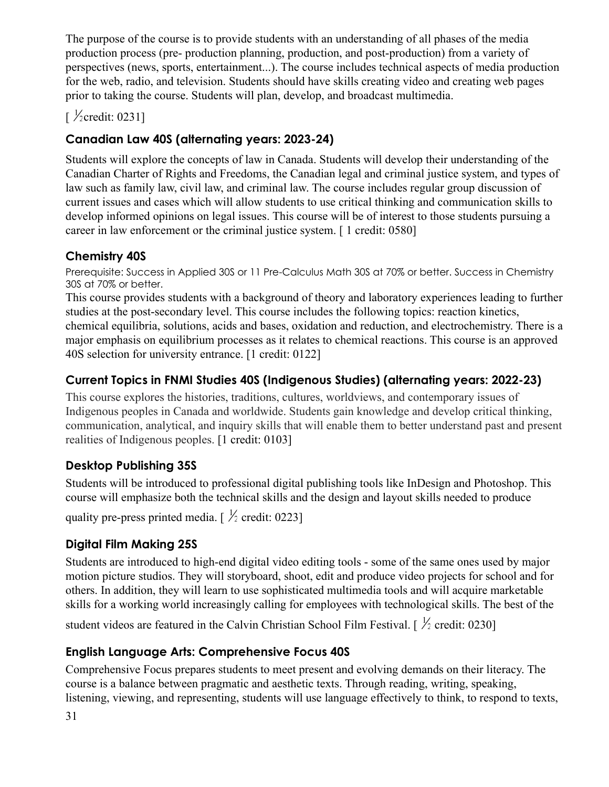The purpose of the course is to provide students with an understanding of all phases of the media production process (pre- production planning, production, and post-production) from a variety of perspectives (news, sports, entertainment...). The course includes technical aspects of media production for the web, radio, and television. Students should have skills creating video and creating web pages prior to taking the course. Students will plan, develop, and broadcast multimedia.

 $\sqrt{\frac{1}{2}}$ credit: 0231]

## **Canadian Law 40S (alternating years: 2023-24)**

Students will explore the concepts of law in Canada. Students will develop their understanding of the Canadian Charter of Rights and Freedoms, the Canadian legal and criminal justice system, and types of law such as family law, civil law, and criminal law. The course includes regular group discussion of current issues and cases which will allow students to use critical thinking and communication skills to develop informed opinions on legal issues. This course will be of interest to those students pursuing a career in law enforcement or the criminal justice system. [ 1 credit: 0580]

### <span id="page-31-0"></span>**Chemistry 40S**

Prerequisite: Success in Applied 30S or 11 Pre-Calculus Math 30S at 70% or better. Success in Chemistry 30S at 70% or better.

This course provides students with a background of theory and laboratory experiences leading to further studies at the post-secondary level. This course includes the following topics: reaction kinetics, chemical equilibria, solutions, acids and bases, oxidation and reduction, and electrochemistry. There is a major emphasis on equilibrium processes as it relates to chemical reactions. This course is an approved 40S selection for university entrance. [1 credit: 0122]

## **Current Topics in FNMI Studies 40S (Indigenous Studies) (alternating years: 2022-23)**

This course explores the histories, traditions, cultures, worldviews, and contemporary issues of Indigenous peoples in Canada and worldwide. Students gain knowledge and develop critical thinking, communication, analytical, and inquiry skills that will enable them to better understand past and present realities of Indigenous peoples. [1 credit: 0103]

## <span id="page-31-1"></span>**Desktop Publishing 35S**

Students will be introduced to professional digital publishing tools like InDesign and Photoshop. This course will emphasize both the technical skills and the design and layout skills needed to produce

quality pre-press printed media.  $\frac{1}{2}$  credit: 0223]

## <span id="page-31-2"></span>**Digital Film Making 25S**

Students are introduced to high-end digital video editing tools - some of the same ones used by major motion picture studios. They will storyboard, shoot, edit and produce video projects for school and for others. In addition, they will learn to use sophisticated multimedia tools and will acquire marketable skills for a working world increasingly calling for employees with technological skills. The best of the

student videos are featured in the Calvin Christian School Film Festival. [ $\frac{1}{2}$  credit: 0230]

## <span id="page-31-3"></span>**English Language Arts: Comprehensive Focus 40S**

Comprehensive Focus prepares students to meet present and evolving demands on their literacy. The course is a balance between pragmatic and aesthetic texts. Through reading, writing, speaking, listening, viewing, and representing, students will use language effectively to think, to respond to texts,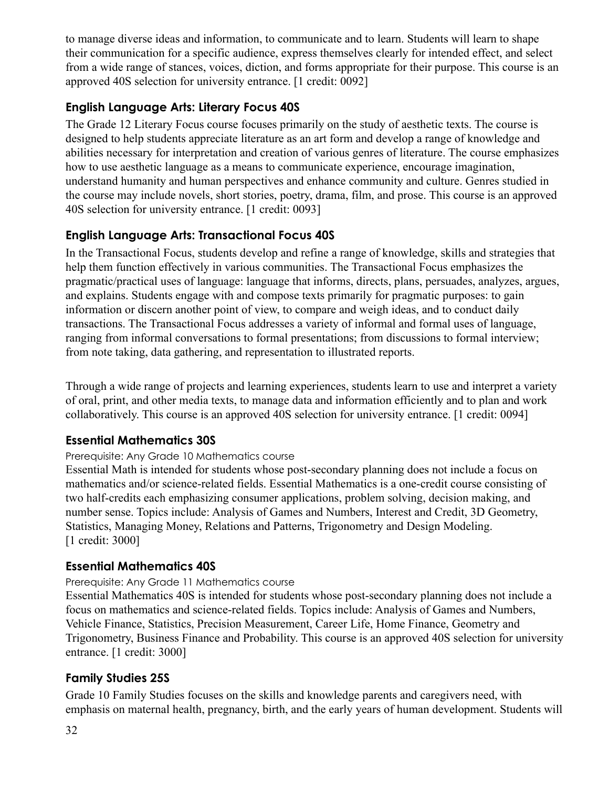to manage diverse ideas and information, to communicate and to learn. Students will learn to shape their communication for a specific audience, express themselves clearly for intended effect, and select from a wide range of stances, voices, diction, and forms appropriate for their purpose. This course is an approved 40S selection for university entrance. [1 credit: 0092]

#### <span id="page-32-0"></span>**English Language Arts: Literary Focus 40S**

The Grade 12 Literary Focus course focuses primarily on the study of aesthetic texts. The course is designed to help students appreciate literature as an art form and develop a range of knowledge and abilities necessary for interpretation and creation of various genres of literature. The course emphasizes how to use aesthetic language as a means to communicate experience, encourage imagination, understand humanity and human perspectives and enhance community and culture. Genres studied in the course may include novels, short stories, poetry, drama, film, and prose. This course is an approved 40S selection for university entrance. [1 credit: 0093]

### <span id="page-32-1"></span>**English Language Arts: Transactional Focus 40S**

In the Transactional Focus, students develop and refine a range of knowledge, skills and strategies that help them function effectively in various communities. The Transactional Focus emphasizes the pragmatic/practical uses of language: language that informs, directs, plans, persuades, analyzes, argues, and explains. Students engage with and compose texts primarily for pragmatic purposes: to gain information or discern another point of view, to compare and weigh ideas, and to conduct daily transactions. The Transactional Focus addresses a variety of informal and formal uses of language, ranging from informal conversations to formal presentations; from discussions to formal interview; from note taking, data gathering, and representation to illustrated reports.

Through a wide range of projects and learning experiences, students learn to use and interpret a variety of oral, print, and other media texts, to manage data and information efficiently and to plan and work collaboratively. This course is an approved 40S selection for university entrance. [1 credit: 0094]

#### <span id="page-32-2"></span>**Essential Mathematics 30S**

#### Prerequisite: Any Grade 10 Mathematics course

Essential Math is intended for students whose post-secondary planning does not include a focus on mathematics and/or science-related fields. Essential Mathematics is a one-credit course consisting of two half-credits each emphasizing consumer applications, problem solving, decision making, and number sense. Topics include: Analysis of Games and Numbers, Interest and Credit, 3D Geometry, Statistics, Managing Money, Relations and Patterns, Trigonometry and Design Modeling. [1 credit: 3000]

#### <span id="page-32-3"></span>**Essential Mathematics 40S**

#### Prerequisite: Any Grade 11 Mathematics course

Essential Mathematics 40S is intended for students whose post-secondary planning does not include a focus on mathematics and science-related fields. Topics include: Analysis of Games and Numbers, Vehicle Finance, Statistics, Precision Measurement, Career Life, Home Finance, Geometry and Trigonometry, Business Finance and Probability. This course is an approved 40S selection for university entrance. [1 credit: 3000]

#### **Family Studies 25S**

Grade 10 Family Studies focuses on the skills and knowledge parents and caregivers need, with emphasis on maternal health, pregnancy, birth, and the early years of human development. Students will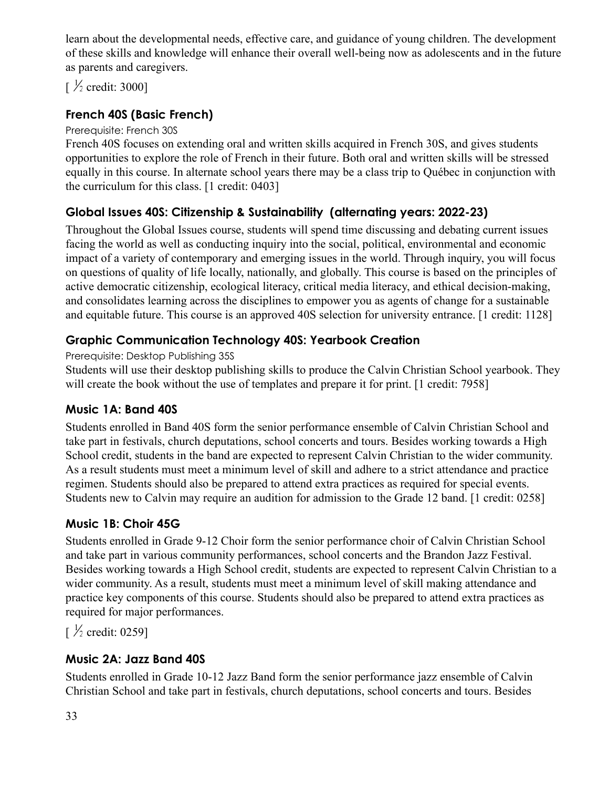learn about the developmental needs, effective care, and guidance of young children. The development of these skills and knowledge will enhance their overall well-being now as adolescents and in the future as parents and caregivers.

 $\frac{1}{2}$  credit: 3000]

### **French 40S (Basic French)**

#### Prerequisite: French 30S

French 40S focuses on extending oral and written skills acquired in French 30S, and gives students opportunities to explore the role of French in their future. Both oral and written skills will be stressed equally in this course. In alternate school years there may be a class trip to Québec in conjunction with the curriculum for this class. [1 credit: 0403]

### <span id="page-33-0"></span>**Global Issues 40S: Citizenship & Sustainability (alternating years: 2022-23)**

Throughout the Global Issues course, students will spend time discussing and debating current issues facing the world as well as conducting inquiry into the social, political, environmental and economic impact of a variety of contemporary and emerging issues in the world. Through inquiry, you will focus on questions of quality of life locally, nationally, and globally. This course is based on the principles of active democratic citizenship, ecological literacy, critical media literacy, and ethical decision-making, and consolidates learning across the disciplines to empower you as agents of change for a sustainable and equitable future. This course is an approved 40S selection for university entrance. [1 credit: 1128]

#### <span id="page-33-1"></span>**Graphic Communication Technology 40S: Yearbook Creation**

Prerequisite: Desktop Publishing 35S

Students will use their desktop publishing skills to produce the Calvin Christian School yearbook. They will create the book without the use of templates and prepare it for print. [1 credit: 7958]

#### <span id="page-33-2"></span>**Music 1A: Band 40S**

Students enrolled in Band 40S form the senior performance ensemble of Calvin Christian School and take part in festivals, church deputations, school concerts and tours. Besides working towards a High School credit, students in the band are expected to represent Calvin Christian to the wider community. As a result students must meet a minimum level of skill and adhere to a strict attendance and practice regimen. Students should also be prepared to attend extra practices as required for special events. Students new to Calvin may require an audition for admission to the Grade 12 band. [1 credit: 0258]

#### <span id="page-33-3"></span>**Music 1B: Choir 45G**

Students enrolled in Grade 9-12 Choir form the senior performance choir of Calvin Christian School and take part in various community performances, school concerts and the Brandon Jazz Festival. Besides working towards a High School credit, students are expected to represent Calvin Christian to a wider community. As a result, students must meet a minimum level of skill making attendance and practice key components of this course. Students should also be prepared to attend extra practices as required for major performances.

 $\frac{1}{2}$  credit: 0259]

#### <span id="page-33-4"></span>**Music 2A: Jazz Band 40S**

Students enrolled in Grade 10-12 Jazz Band form the senior performance jazz ensemble of Calvin Christian School and take part in festivals, church deputations, school concerts and tours. Besides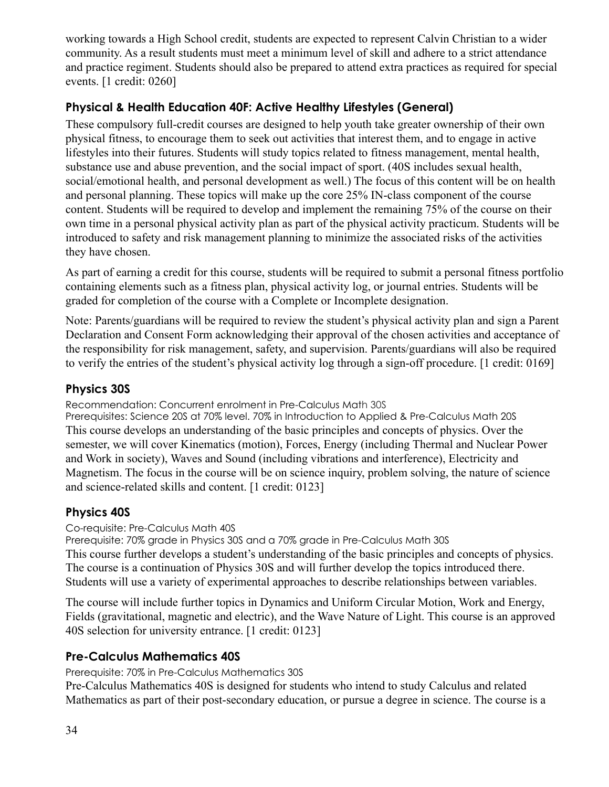working towards a High School credit, students are expected to represent Calvin Christian to a wider community. As a result students must meet a minimum level of skill and adhere to a strict attendance and practice regiment. Students should also be prepared to attend extra practices as required for special events. [1 credit: 0260]

#### <span id="page-34-0"></span>**Physical & Health Education 40F: Active Healthy Lifestyles (General)**

These compulsory full-credit courses are designed to help youth take greater ownership of their own physical fitness, to encourage them to seek out activities that interest them, and to engage in active lifestyles into their futures. Students will study topics related to fitness management, mental health, substance use and abuse prevention, and the social impact of sport. (40S includes sexual health, social/emotional health, and personal development as well.) The focus of this content will be on health and personal planning. These topics will make up the core 25% IN-class component of the course content. Students will be required to develop and implement the remaining 75% of the course on their own time in a personal physical activity plan as part of the physical activity practicum. Students will be introduced to safety and risk management planning to minimize the associated risks of the activities they have chosen.

As part of earning a credit for this course, students will be required to submit a personal fitness portfolio containing elements such as a fitness plan, physical activity log, or journal entries. Students will be graded for completion of the course with a Complete or Incomplete designation.

Note: Parents/guardians will be required to review the student's physical activity plan and sign a Parent Declaration and Consent Form acknowledging their approval of the chosen activities and acceptance of the responsibility for risk management, safety, and supervision. Parents/guardians will also be required to verify the entries of the student's physical activity log through a sign-off procedure. [1 credit: 0169]

### <span id="page-34-1"></span>**Physics 30S**

Recommendation: Concurrent enrolment in Pre-Calculus Math 30S

Prerequisites: Science 20S at 70% level. 70% in Introduction to Applied & Pre-Calculus Math 20S This course develops an understanding of the basic principles and concepts of physics. Over the semester, we will cover Kinematics (motion), Forces, Energy (including Thermal and Nuclear Power and Work in society), Waves and Sound (including vibrations and interference), Electricity and Magnetism. The focus in the course will be on science inquiry, problem solving, the nature of science and science-related skills and content. [1 credit: 0123]

### <span id="page-34-2"></span>**Physics 40S**

Co-requisite: Pre-Calculus Math 40S

Prerequisite: 70% grade in Physics 30S and a 70% grade in Pre-Calculus Math 30S This course further develops a student's understanding of the basic principles and concepts of physics. The course is a continuation of Physics 30S and will further develop the topics introduced there. Students will use a variety of experimental approaches to describe relationships between variables.

The course will include further topics in Dynamics and Uniform Circular Motion, Work and Energy, Fields (gravitational, magnetic and electric), and the Wave Nature of Light. This course is an approved 40S selection for university entrance. [1 credit: 0123]

### <span id="page-34-3"></span>**Pre-Calculus Mathematics 40S**

Prerequisite: 70% in Pre-Calculus Mathematics 30S

Pre-Calculus Mathematics 40S is designed for students who intend to study Calculus and related Mathematics as part of their post-secondary education, or pursue a degree in science. The course is a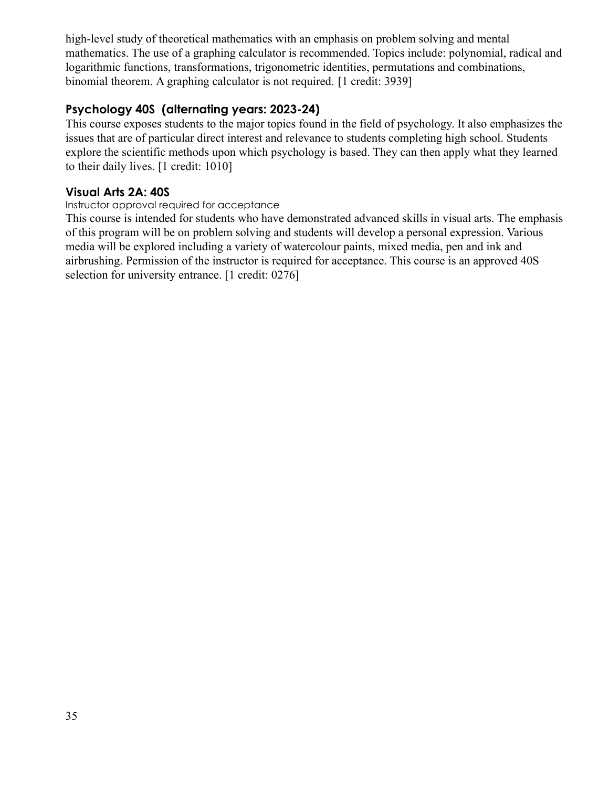high-level study of theoretical mathematics with an emphasis on problem solving and mental mathematics. The use of a graphing calculator is recommended. Topics include: polynomial, radical and logarithmic functions, transformations, trigonometric identities, permutations and combinations, binomial theorem. A graphing calculator is not required. [1 credit: 3939]

#### **Psychology 40S (alternating years: 2023-24)**

This course exposes students to the major topics found in the field of psychology. It also emphasizes the issues that are of particular direct interest and relevance to students completing high school. Students explore the scientific methods upon which psychology is based. They can then apply what they learned to their daily lives. [1 credit: 1010]

#### **Visual Arts 2A: 40S**

#### Instructor approval required for acceptance

This course is intended for students who have demonstrated advanced skills in visual arts. The emphasis of this program will be on problem solving and students will develop a personal expression. Various media will be explored including a variety of watercolour paints, mixed media, pen and ink and airbrushing. Permission of the instructor is required for acceptance. This course is an approved 40S selection for university entrance. [1 credit: 0276]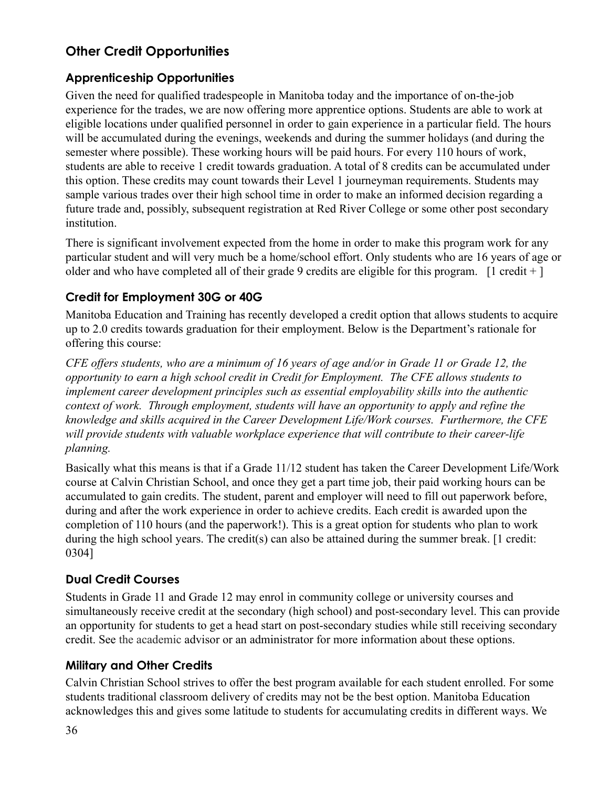## <span id="page-36-0"></span>**Other Credit Opportunities**

#### <span id="page-36-1"></span>**Apprenticeship Opportunities**

Given the need for qualified tradespeople in Manitoba today and the importance of on-the-job experience for the trades, we are now offering more apprentice options. Students are able to work at eligible locations under qualified personnel in order to gain experience in a particular field. The hours will be accumulated during the evenings, weekends and during the summer holidays (and during the semester where possible). These working hours will be paid hours. For every 110 hours of work, students are able to receive 1 credit towards graduation. A total of 8 credits can be accumulated under this option. These credits may count towards their Level 1 journeyman requirements. Students may sample various trades over their high school time in order to make an informed decision regarding a future trade and, possibly, subsequent registration at Red River College or some other post secondary institution.

There is significant involvement expected from the home in order to make this program work for any particular student and will very much be a home/school effort. Only students who are 16 years of age or older and who have completed all of their grade 9 credits are eligible for this program.  $[1 \text{ credit } + ]$ 

#### <span id="page-36-2"></span>**Credit for Employment 30G or 40G**

Manitoba Education and Training has recently developed a credit option that allows students to acquire up to 2.0 credits towards graduation for their employment. Below is the Department's rationale for offering this course:

*CFE offers students, who are a minimum of 16 years of age and/or in Grade 11 or Grade 12, the opportunity to earn a high school credit in Credit for Employment. The CFE allows students to implement career development principles such as essential employability skills into the authentic context of work. Through employment, students will have an opportunity to apply and refine the knowledge and skills acquired in the Career Development Life/Work courses. Furthermore, the CFE will provide students with valuable workplace experience that will contribute to their career-life planning.*

Basically what this means is that if a Grade 11/12 student has taken the Career Development Life/Work course at Calvin Christian School, and once they get a part time job, their paid working hours can be accumulated to gain credits. The student, parent and employer will need to fill out paperwork before, during and after the work experience in order to achieve credits. Each credit is awarded upon the completion of 110 hours (and the paperwork!). This is a great option for students who plan to work during the high school years. The credit(s) can also be attained during the summer break. [1 credit: 0304]

#### <span id="page-36-3"></span>**Dual Credit Courses**

Students in Grade 11 and Grade 12 may enrol in community college or university courses and simultaneously receive credit at the secondary (high school) and post-secondary level. This can provide an opportunity for students to get a head start on post-secondary studies while still receiving secondary credit. See the academic advisor or an administrator for more information about these options.

#### <span id="page-36-4"></span>**Military and Other Credits**

Calvin Christian School strives to offer the best program available for each student enrolled. For some students traditional classroom delivery of credits may not be the best option. Manitoba Education acknowledges this and gives some latitude to students for accumulating credits in different ways. We